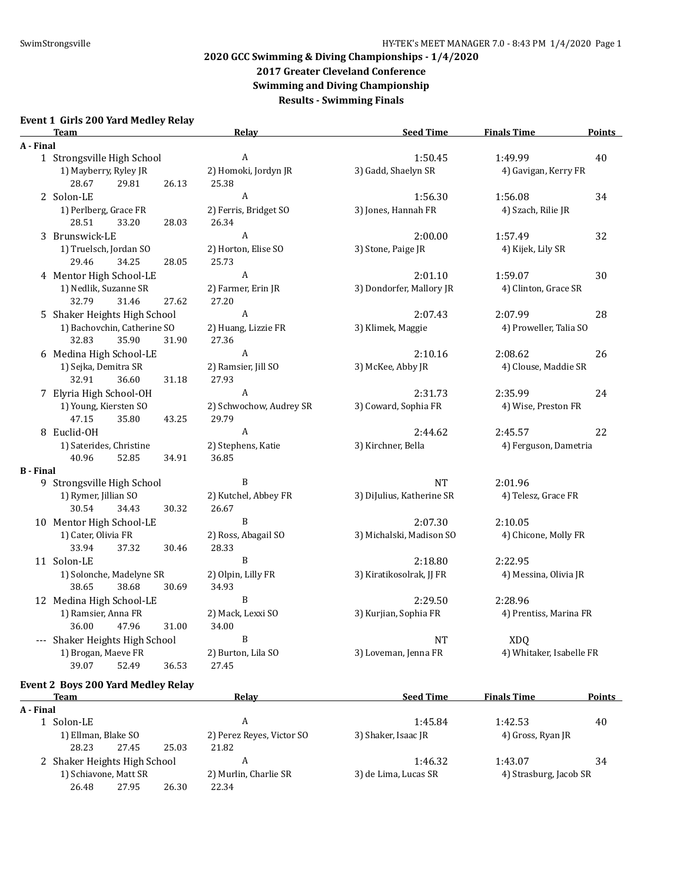**2017 Greater Cleveland Conference**

**Swimming and Diving Championship Results - Swimming Finals**

### **Event 1 Girls 200 Yard Medley Relay**

|                  | <b>Team</b>                                            | Relay                            | <b>Seed Time</b>          | <b>Finals Time</b>       | <b>Points</b> |
|------------------|--------------------------------------------------------|----------------------------------|---------------------------|--------------------------|---------------|
| A - Final        |                                                        |                                  |                           |                          |               |
|                  | 1 Strongsville High School                             | A                                | 1:50.45                   | 1:49.99                  | 40            |
|                  | 1) Mayberry, Ryley JR<br>28.67<br>29.81<br>26.13       | 2) Homoki, Jordyn JR<br>25.38    | 3) Gadd, Shaelyn SR       | 4) Gavigan, Kerry FR     |               |
|                  | 2 Solon-LE                                             | $\boldsymbol{A}$                 | 1:56.30                   | 1:56.08                  | 34            |
|                  | 1) Perlberg, Grace FR<br>28.51<br>33.20<br>28.03       | 2) Ferris, Bridget SO<br>26.34   | 3) Jones, Hannah FR       | 4) Szach, Rilie JR       |               |
|                  | 3 Brunswick-LE                                         | A                                | 2:00.00                   | 1:57.49                  | 32            |
|                  | 1) Truelsch, Jordan SO<br>29.46<br>34.25<br>28.05      | 2) Horton, Elise SO<br>25.73     | 3) Stone, Paige JR        | 4) Kijek, Lily SR        |               |
|                  | 4 Mentor High School-LE                                | A                                | 2:01.10                   | 1:59.07                  | 30            |
|                  | 1) Nedlik, Suzanne SR<br>32.79<br>31.46<br>27.62       | 2) Farmer, Erin JR<br>27.20      | 3) Dondorfer, Mallory JR  | 4) Clinton, Grace SR     |               |
|                  | 5 Shaker Heights High School                           | A                                | 2:07.43                   | 2:07.99                  | 28            |
|                  | 1) Bachovchin, Catherine SO<br>32.83<br>35.90<br>31.90 | 2) Huang, Lizzie FR<br>27.36     | 3) Klimek, Maggie         | 4) Proweller, Talia SO   |               |
|                  | 6 Medina High School-LE                                | A                                | 2:10.16                   | 2:08.62                  | 26            |
|                  | 1) Sejka, Demitra SR<br>32.91<br>36.60<br>31.18        | 2) Ramsier, Jill SO<br>27.93     | 3) McKee, Abby JR         | 4) Clouse, Maddie SR     |               |
|                  | 7 Elyria High School-OH                                | A                                | 2:31.73                   | 2:35.99                  | 24            |
|                  | 1) Young, Kiersten SO<br>47.15<br>35.80<br>43.25       | 2) Schwochow, Audrey SR<br>29.79 | 3) Coward, Sophia FR      | 4) Wise, Preston FR      |               |
|                  | 8 Euclid-OH                                            | A                                | 2:44.62                   | 2:45.57                  | 22            |
|                  | 1) Saterides, Christine<br>40.96<br>52.85<br>34.91     | 2) Stephens, Katie<br>36.85      | 3) Kirchner, Bella        | 4) Ferguson, Dametria    |               |
| <b>B</b> - Final |                                                        |                                  |                           |                          |               |
|                  | 9 Strongsville High School                             | B                                | $\rm{NT}$                 | 2:01.96                  |               |
|                  | 1) Rymer, Jillian SO<br>30.54<br>34.43<br>30.32        | 2) Kutchel, Abbey FR<br>26.67    | 3) DiJulius, Katherine SR | 4) Telesz, Grace FR      |               |
|                  | 10 Mentor High School-LE                               | B                                | 2:07.30                   | 2:10.05                  |               |
|                  | 1) Cater, Olivia FR<br>33.94<br>37.32<br>30.46         | 2) Ross, Abagail SO<br>28.33     | 3) Michalski, Madison SO  | 4) Chicone, Molly FR     |               |
|                  | 11 Solon-LE                                            | B                                | 2:18.80                   | 2:22.95                  |               |
|                  | 1) Solonche, Madelyne SR<br>38.65<br>38.68<br>30.69    | 2) Olpin, Lilly FR<br>34.93      | 3) Kiratikosolrak, JJ FR  | 4) Messina, Olivia JR    |               |
|                  | 12 Medina High School-LE                               | B                                | 2:29.50                   | 2:28.96                  |               |
|                  | 1) Ramsier, Anna FR                                    | 2) Mack, Lexxi SO                | 3) Kurjian, Sophia FR     | 4) Prentiss, Marina FR   |               |
|                  | 36.00<br>47.96<br>31.00                                | 34.00                            |                           |                          |               |
|                  | --- Shaker Heights High School                         | $\, {\bf B}$                     | NT                        | <b>XDQ</b>               |               |
|                  | 1) Brogan, Maeve FR<br>39.07<br>52.49<br>36.53         | 2) Burton, Lila SO<br>27.45      | 3) Loveman, Jenna FR      | 4) Whitaker, Isabelle FR |               |
|                  | <b>Event 2 Boys 200 Yard Medley Relay</b>              |                                  |                           |                          |               |
|                  | <b>Team</b>                                            | <b>Relay</b>                     | <b>Seed Time</b>          | <b>Finals Time</b>       | <b>Points</b> |

| A - Final |                              |       |       |                           |                      |                        |    |
|-----------|------------------------------|-------|-------|---------------------------|----------------------|------------------------|----|
|           | 1 Solon-LE                   |       |       | A                         | 1:45.84              | 1:42.53                | 40 |
|           | 1) Ellman, Blake SO          |       |       | 2) Perez Reyes, Victor SO | 3) Shaker, Isaac JR  | 4) Gross, Ryan JR      |    |
|           | 28.23                        | 27.45 | 25.03 | 21.82                     |                      |                        |    |
|           | 2 Shaker Heights High School |       |       |                           | 1:46.32              | 1:43.07                | 34 |
|           | 1) Schiavone, Matt SR        |       |       | 2) Murlin, Charlie SR     | 3) de Lima, Lucas SR | 4) Strasburg, Jacob SR |    |
|           | 26.48                        | 27.95 | 26.30 | 22.34                     |                      |                        |    |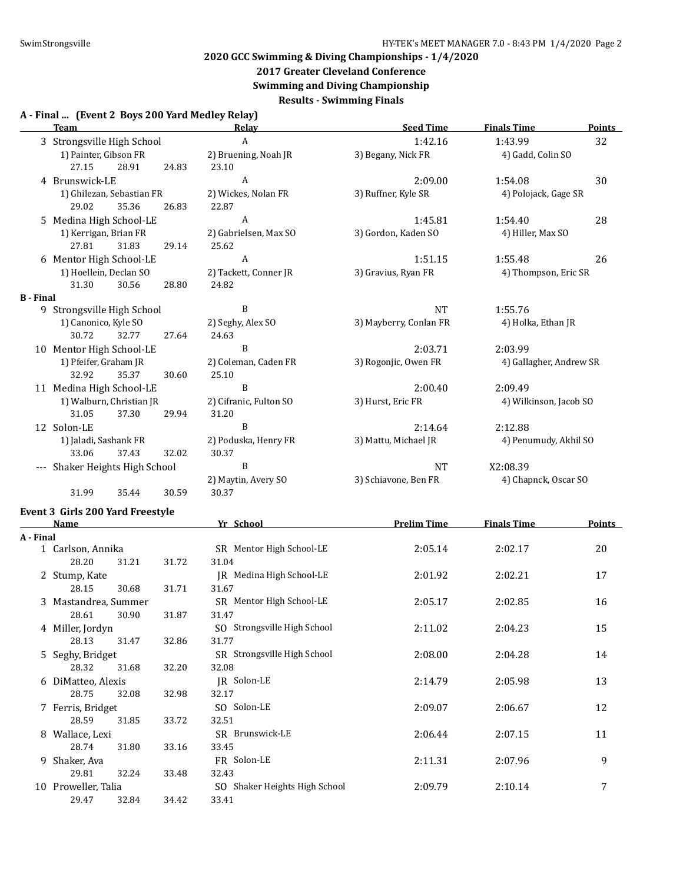# **2017 Greater Cleveland Conference**

**Swimming and Diving Championship**

**Results - Swimming Finals**

#### **A - Final ... (Event 2 Boys 200 Yard Medley Relay)**

|                  | <b>Team</b>                    |                           |       | Relay                  | <b>Seed Time</b>       | <b>Finals Time</b>      | <b>Points</b> |
|------------------|--------------------------------|---------------------------|-------|------------------------|------------------------|-------------------------|---------------|
|                  | 3 Strongsville High School     |                           |       | A                      | 1:42.16                | 1:43.99                 | 32            |
|                  | 1) Painter, Gibson FR          |                           |       | 2) Bruening, Noah JR   | 3) Begany, Nick FR     | 4) Gadd, Colin SO       |               |
|                  | 27.15                          | 28.91                     | 24.83 | 23.10                  |                        |                         |               |
|                  | 4 Brunswick-LE                 |                           |       | $\mathbf{A}$           | 2:09.00                | 1:54.08                 | 30            |
|                  |                                | 1) Ghilezan, Sebastian FR |       | 2) Wickes, Nolan FR    | 3) Ruffner, Kyle SR    | 4) Polojack, Gage SR    |               |
|                  | 29.02                          | 35.36                     | 26.83 | 22.87                  |                        |                         |               |
|                  | 5 Medina High School-LE        |                           |       | A                      | 1:45.81                | 1:54.40                 | 28            |
|                  | 1) Kerrigan, Brian FR          |                           |       | 2) Gabrielsen, Max SO  | 3) Gordon, Kaden SO    | 4) Hiller, Max SO       |               |
|                  | 27.81                          | 31.83                     | 29.14 | 25.62                  |                        |                         |               |
|                  | 6 Mentor High School-LE        |                           |       | A                      | 1:51.15                | 1:55.48                 | 26            |
|                  | 1) Hoellein, Declan SO         |                           |       | 2) Tackett, Conner JR  | 3) Gravius, Ryan FR    | 4) Thompson, Eric SR    |               |
|                  | 31.30                          | 30.56                     | 28.80 | 24.82                  |                        |                         |               |
| <b>B</b> - Final |                                |                           |       |                        |                        |                         |               |
| 9.               | Strongsville High School       |                           |       | B                      | <b>NT</b>              | 1:55.76                 |               |
|                  | 1) Canonico, Kyle SO           |                           |       | 2) Seghy, Alex SO      | 3) Mayberry, Conlan FR | 4) Holka, Ethan JR      |               |
|                  | 30.72                          | 32.77                     | 27.64 | 24.63                  |                        |                         |               |
|                  | 10 Mentor High School-LE       |                           |       | B                      | 2:03.71                | 2:03.99                 |               |
|                  | 1) Pfeifer, Graham JR          |                           |       | 2) Coleman, Caden FR   | 3) Rogonjic, Owen FR   | 4) Gallagher, Andrew SR |               |
|                  | 32.92                          | 35.37                     | 30.60 | 25.10                  |                        |                         |               |
|                  | 11 Medina High School-LE       |                           |       | B                      | 2:00.40                | 2:09.49                 |               |
|                  |                                | 1) Walburn, Christian JR  |       | 2) Cifranic, Fulton SO | 3) Hurst, Eric FR      | 4) Wilkinson, Jacob SO  |               |
|                  | 31.05                          | 37.30                     | 29.94 | 31.20                  |                        |                         |               |
|                  | 12 Solon-LE                    |                           |       | B                      | 2:14.64                | 2:12.88                 |               |
|                  | 1) Jaladi, Sashank FR          |                           |       | 2) Poduska, Henry FR   | 3) Mattu, Michael JR   | 4) Penumudy, Akhil SO   |               |
|                  | 33.06                          | 37.43                     | 32.02 | 30.37                  |                        |                         |               |
|                  | --- Shaker Heights High School |                           |       | B                      | <b>NT</b>              | X2:08.39                |               |
|                  |                                |                           |       | 2) Maytin, Avery SO    | 3) Schiavone, Ben FR   | 4) Chapnck, Oscar SO    |               |
|                  | 31.99                          | 35.44                     | 30.59 | 30.37                  |                        |                         |               |
|                  |                                |                           |       |                        |                        |                         |               |

# **Event 3 Girls 200 Yard Freestyle**

|           | <b>Name</b>          |       | Yr School                         | <b>Prelim Time</b> | <b>Finals Time</b> | <b>Points</b> |
|-----------|----------------------|-------|-----------------------------------|--------------------|--------------------|---------------|
| A - Final |                      |       |                                   |                    |                    |               |
|           | 1 Carlson, Annika    |       | SR Mentor High School-LE          | 2:05.14            | 2:02.17            | 20            |
|           | 28.20<br>31.21       | 31.72 | 31.04                             |                    |                    |               |
|           | 2 Stump, Kate        |       | IR Medina High School-LE          | 2:01.92            | 2:02.21            | 17            |
|           | 28.15<br>30.68       | 31.71 | 31.67                             |                    |                    |               |
|           | 3 Mastandrea, Summer |       | SR Mentor High School-LE          | 2:05.17            | 2:02.85            | 16            |
|           | 28.61<br>30.90       | 31.87 | 31.47                             |                    |                    |               |
|           | 4 Miller, Jordyn     |       | SO Strongsville High School       | 2:11.02            | 2:04.23            | 15            |
|           | 28.13<br>31.47       | 32.86 | 31.77                             |                    |                    |               |
|           | 5 Seghy, Bridget     |       | SR Strongsville High School       | 2:08.00            | 2:04.28            | 14            |
|           | 28.32<br>31.68       | 32.20 | 32.08                             |                    |                    |               |
|           | 6 DiMatteo, Alexis   |       | JR Solon-LE                       | 2:14.79            | 2:05.98            | 13            |
|           | 28.75<br>32.08       | 32.98 | 32.17                             |                    |                    |               |
|           | 7 Ferris, Bridget    |       | SO Solon-LE                       | 2:09.07            | 2:06.67            | 12            |
|           | 28.59<br>31.85       | 33.72 | 32.51                             |                    |                    |               |
| 8         | Wallace, Lexi        |       | SR Brunswick-LE                   | 2:06.44            | 2:07.15            | 11            |
|           | 28.74<br>31.80       | 33.16 | 33.45                             |                    |                    |               |
|           | 9 Shaker, Ava        |       | FR Solon-LE                       | 2:11.31            | 2:07.96            | 9             |
|           | 29.81<br>32.24       | 33.48 | 32.43                             |                    |                    |               |
|           | 10 Proweller, Talia  |       | Shaker Heights High School<br>SO. | 2:09.79            | 2:10.14            | 7             |
|           | 29.47<br>32.84       | 34.42 | 33.41                             |                    |                    |               |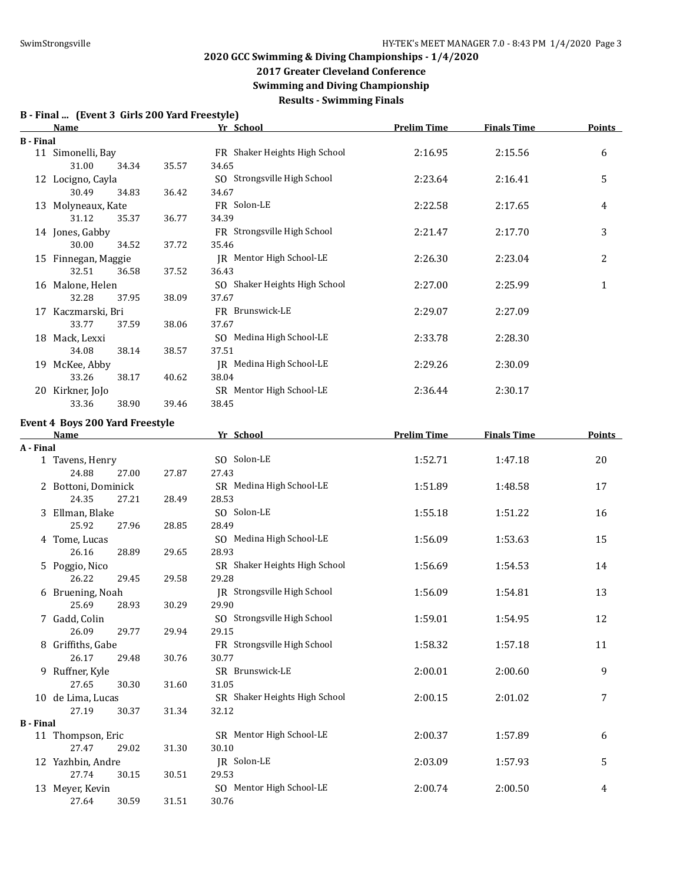**2017 Greater Cleveland Conference**

**Swimming and Diving Championship**

**Results - Swimming Finals**

|                  | Name                                   |       | Yr School                              | <b>Prelim Time</b> | <b>Finals Time</b> | <b>Points</b> |
|------------------|----------------------------------------|-------|----------------------------------------|--------------------|--------------------|---------------|
| <b>B</b> - Final |                                        |       |                                        |                    |                    |               |
|                  | 11 Simonelli, Bay<br>31.00<br>34.34    | 35.57 | FR Shaker Heights High School<br>34.65 | 2:16.95            | 2:15.56            | 6             |
|                  | 12 Locigno, Cayla                      |       | SO Strongsville High School            | 2:23.64            | 2:16.41            | 5             |
|                  | 30.49<br>34.83                         | 36.42 | 34.67                                  |                    |                    |               |
|                  | 13 Molyneaux, Kate                     |       | FR Solon-LE                            | 2:22.58            | 2:17.65            | 4             |
|                  | 31.12<br>35.37                         | 36.77 | 34.39                                  |                    |                    |               |
|                  | 14 Jones, Gabby                        |       | FR Strongsville High School            | 2:21.47            | 2:17.70            | 3             |
|                  | 30.00<br>34.52                         | 37.72 | 35.46                                  |                    |                    |               |
|                  | 15 Finnegan, Maggie                    |       | JR Mentor High School-LE               | 2:26.30            | 2:23.04            | 2             |
|                  | 32.51<br>36.58                         | 37.52 | 36.43                                  |                    |                    |               |
|                  | 16 Malone, Helen                       |       | SO Shaker Heights High School          | 2:27.00            | 2:25.99            | $\mathbf{1}$  |
|                  | 32.28<br>37.95                         | 38.09 | 37.67                                  |                    |                    |               |
|                  | 17 Kaczmarski, Bri                     |       | FR Brunswick-LE                        | 2:29.07            | 2:27.09            |               |
|                  | 33.77<br>37.59                         | 38.06 | 37.67                                  |                    |                    |               |
|                  | 18 Mack, Lexxi                         |       | SO Medina High School-LE               | 2:33.78            | 2:28.30            |               |
|                  | 34.08<br>38.14                         | 38.57 | 37.51                                  |                    |                    |               |
|                  | 19 McKee, Abby                         |       | JR Medina High School-LE               | 2:29.26            | 2:30.09            |               |
|                  | 33.26<br>38.17                         | 40.62 | 38.04                                  |                    |                    |               |
|                  | 20 Kirkner, JoJo                       |       | SR Mentor High School-LE               | 2:36.44            | 2:30.17            |               |
|                  | 33.36<br>38.90                         | 39.46 | 38.45                                  |                    |                    |               |
|                  | <b>Event 4 Boys 200 Yard Freestyle</b> |       |                                        |                    |                    |               |
|                  | Name                                   |       | Yr School                              | <b>Prelim Time</b> | <b>Finals Time</b> | <b>Points</b> |
| A - Final        |                                        |       |                                        |                    |                    |               |
|                  | 1 Tavens, Henry                        |       | SO Solon-LE                            | 1:52.71            | 1:47.18            | 20            |
|                  | 24.88<br>27.00                         | 27.87 | 27.43                                  |                    |                    |               |
|                  | 2 Bottoni, Dominick                    |       | SR Medina High School-LE               | 1:51.89            | 1:48.58            | 17            |
|                  | 24.35<br>27.21                         | 28.49 | 28.53                                  |                    |                    |               |
|                  | 3 Ellman, Blake                        |       | SO Solon-LE                            | 1:55.18            | 1:51.22            | 16            |
|                  | 25.92<br>27.96                         | 28.85 | 28.49                                  |                    |                    |               |
|                  | 4 Tome, Lucas                          |       | SO Medina High School-LE               | 1:56.09            | 1:53.63            | 15            |
|                  | 26.16<br>28.89                         | 29.65 | 28.93                                  |                    |                    |               |
|                  | 5 Poggio, Nico                         |       | SR Shaker Heights High School          | 1:56.69            | 1:54.53            | 14            |
|                  | 26.22<br>29.45                         | 29.58 | 29.28                                  |                    |                    |               |
|                  | 6 Bruening, Noah                       |       | JR Strongsville High School            | 1:56.09            | 1:54.81            | 13            |
|                  | 25.69<br>28.93                         | 30.29 | 29.90                                  |                    |                    |               |
|                  | 7 Gadd, Colin                          |       | SO Strongsville High School            | 1:59.01            | 1:54.95            | 12            |
|                  | 26.09<br>29.77                         | 29.94 | 29.15                                  |                    |                    |               |
|                  | 8 Griffiths, Gabe                      |       | FR Strongsville High School            | 1:58.32            | 1:57.18            | 11            |
|                  | 26.17<br>29.48                         | 30.76 | 30.77                                  |                    |                    |               |
|                  | 9 Ruffner, Kyle                        |       | SR Brunswick-LE                        | 2:00.01            | 2:00.60            | 9             |
|                  | 27.65<br>30.30                         | 31.60 | 31.05                                  |                    |                    |               |
|                  | 10 de Lima, Lucas                      |       | SR Shaker Heights High School          | 2:00.15            | 2:01.02            | 7             |
|                  | 27.19<br>30.37                         | 31.34 | 32.12                                  |                    |                    |               |
| <b>B</b> - Final |                                        |       |                                        |                    |                    |               |
|                  | 11 Thompson, Eric                      |       | SR Mentor High School-LE               | 2:00.37            | 1:57.89            | 6             |
|                  | 27.47<br>29.02                         | 31.30 | 30.10                                  |                    |                    |               |
|                  | 12 Yazhbin, Andre                      |       | JR Solon-LE                            | 2:03.09            | 1:57.93            | 5             |
|                  | 27.74<br>30.15                         | 30.51 | 29.53                                  |                    |                    |               |
|                  | 13 Meyer, Kevin                        |       | SO Mentor High School-LE               | 2:00.74            | 2:00.50            | 4             |
|                  | 27.64<br>30.59                         | 31.51 | 30.76                                  |                    |                    |               |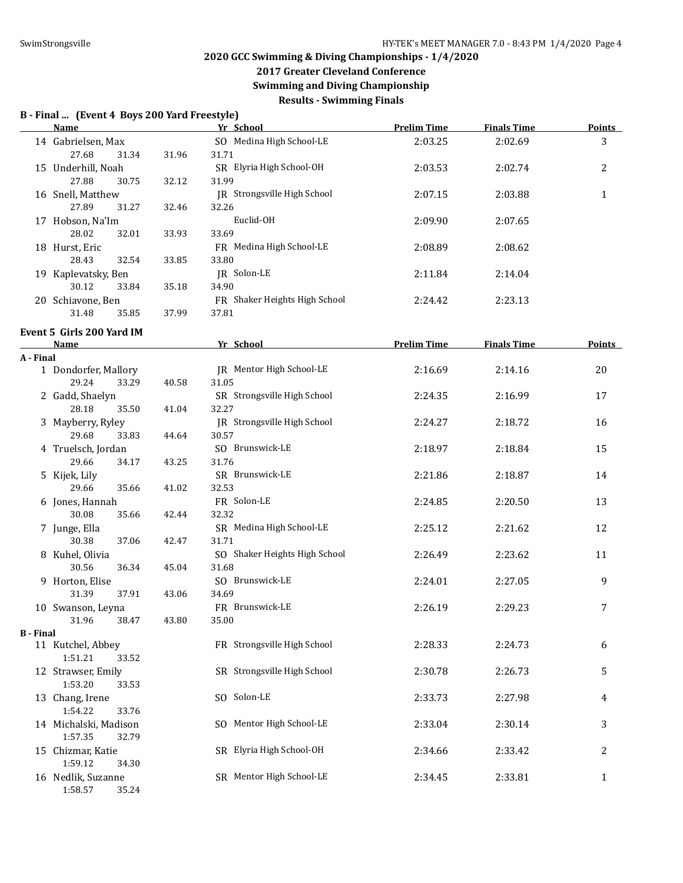## **2017 Greater Cleveland Conference**

**Swimming and Diving Championship**

**Results - Swimming Finals**

### **B - Final ... (Event 4 Boys 200 Yard Freestyle)**

|                  | Name                                      |       | Yr School                                   | <b>Prelim Time</b> | <b>Finals Time</b> | <b>Points</b> |
|------------------|-------------------------------------------|-------|---------------------------------------------|--------------------|--------------------|---------------|
|                  | 14 Gabrielsen, Max<br>27.68<br>31.34      | 31.96 | SO Medina High School-LE<br>31.71           | 2:03.25            | 2:02.69            | 3             |
|                  | 15 Underhill, Noah<br>27.88<br>30.75      | 32.12 | SR Elyria High School-OH<br>31.99           | 2:03.53            | 2:02.74            | 2             |
|                  | 16 Snell, Matthew<br>27.89<br>31.27       | 32.46 | <b>IR</b> Strongsville High School<br>32.26 | 2:07.15            | 2:03.88            | $\mathbf{1}$  |
|                  | 17 Hobson, Na'Im<br>28.02<br>32.01        | 33.93 | Euclid-OH<br>33.69                          | 2:09.90            | 2:07.65            |               |
|                  | 18 Hurst, Eric<br>32.54<br>28.43          | 33.85 | FR Medina High School-LE<br>33.80           | 2:08.89            | 2:08.62            |               |
|                  | 19 Kaplevatsky, Ben<br>30.12<br>33.84     | 35.18 | JR Solon-LE<br>34.90                        | 2:11.84            | 2:14.04            |               |
|                  | 20 Schiavone, Ben<br>31.48<br>35.85       | 37.99 | FR Shaker Heights High School<br>37.81      | 2:24.42            | 2:23.13            |               |
|                  | Event 5 Girls 200 Yard IM<br>Name         |       | Yr School                                   | <b>Prelim Time</b> | <b>Finals Time</b> | Points        |
| A - Final        |                                           |       |                                             |                    |                    |               |
|                  | 1 Dondorfer, Mallory<br>29.24<br>33.29    | 40.58 | <b>IR</b> Mentor High School-LE<br>31.05    | 2:16.69            | 2:14.16            | 20            |
|                  | 2 Gadd, Shaelyn<br>28.18<br>35.50         | 41.04 | SR Strongsville High School<br>32.27        | 2:24.35            | 2:16.99            | 17            |
|                  | 3 Mayberry, Ryley<br>29.68<br>33.83       | 44.64 | JR Strongsville High School<br>30.57        | 2:24.27            | 2:18.72            | 16            |
|                  | 4 Truelsch, Jordan<br>29.66<br>34.17      | 43.25 | SO Brunswick-LE<br>31.76                    | 2:18.97            | 2:18.84            | 15            |
|                  | 5 Kijek, Lily<br>29.66<br>35.66           | 41.02 | SR Brunswick-LE<br>32.53                    | 2:21.86            | 2:18.87            | 14            |
|                  | 6 Jones, Hannah<br>30.08<br>35.66         | 42.44 | FR Solon-LE<br>32.32                        | 2:24.85            | 2:20.50            | 13            |
|                  | 7 Junge, Ella<br>30.38<br>37.06           | 42.47 | SR Medina High School-LE<br>31.71           | 2:25.12            | 2:21.62            | 12            |
|                  | 8 Kuhel, Olivia<br>30.56<br>36.34         | 45.04 | SO Shaker Heights High School<br>31.68      | 2:26.49            | 2:23.62            | 11            |
|                  | 9 Horton, Elise<br>31.39<br>37.91         | 43.06 | SO Brunswick-LE<br>34.69                    | 2:24.01            | 2:27.05            | 9             |
|                  | 10 Swanson, Leyna<br>31.96 38.47          | 43.80 | FR Brunswick-LE<br>35.00                    | 2:26.19            | 2:29.23            | 7             |
| <b>B</b> - Final |                                           |       |                                             |                    |                    |               |
|                  | 11 Kutchel, Abbey<br>1:51.21<br>33.52     |       | FR Strongsville High School                 | 2:28.33            | 2:24.73            | 6             |
|                  | 12 Strawser, Emily<br>1:53.20<br>33.53    |       | SR Strongsville High School                 | 2:30.78            | 2:26.73            | 5             |
|                  | 13 Chang, Irene<br>1:54.22<br>33.76       |       | SO Solon-LE                                 | 2:33.73            | 2:27.98            | 4             |
|                  | 14 Michalski, Madison<br>1:57.35<br>32.79 |       | SO Mentor High School-LE                    | 2:33.04            | 2:30.14            | 3             |
|                  | 15 Chizmar, Katie<br>1:59.12<br>34.30     |       | SR Elyria High School-OH                    | 2:34.66            | 2:33.42            | 2             |
|                  | 16 Nedlik, Suzanne<br>1:58.57<br>35.24    |       | SR Mentor High School-LE                    | 2:34.45            | 2:33.81            | $\mathbf{1}$  |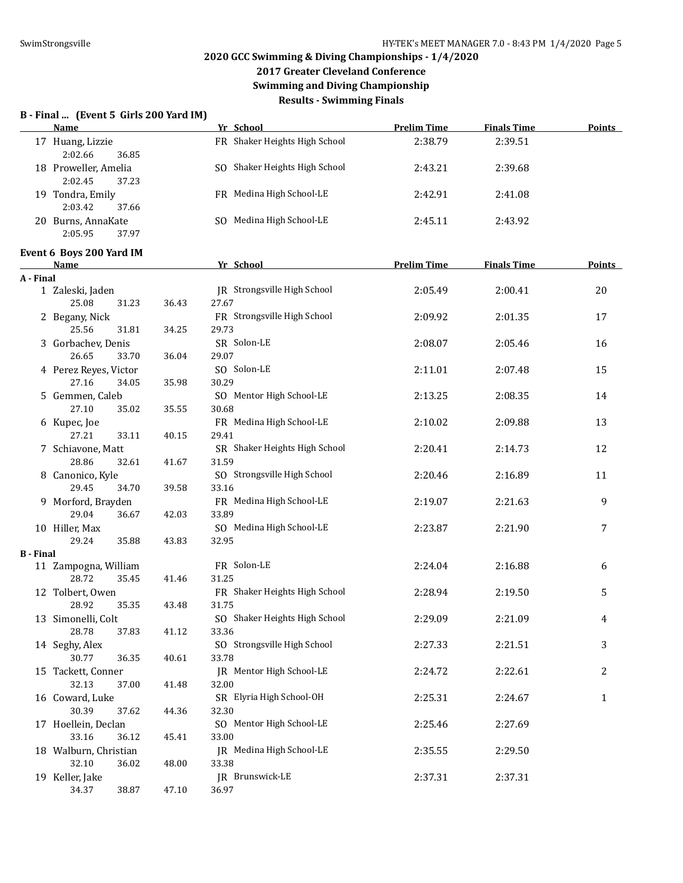## **2017 Greater Cleveland Conference Swimming and Diving Championship**

**Results - Swimming Finals**

### **B - Final ... (Event 5 Girls 200 Yard IM)**

|                  | Name                                     |       | Yr School                            | <b>Prelim Time</b> | <b>Finals Time</b> | <b>Points</b> |
|------------------|------------------------------------------|-------|--------------------------------------|--------------------|--------------------|---------------|
|                  | 17 Huang, Lizzie<br>2:02.66<br>36.85     |       | FR Shaker Heights High School        | 2:38.79            | 2:39.51            |               |
|                  | 18 Proweller, Amelia<br>2:02.45<br>37.23 |       | SO Shaker Heights High School        | 2:43.21            | 2:39.68            |               |
|                  | 19 Tondra, Emily<br>2:03.42<br>37.66     |       | FR Medina High School-LE             | 2:42.91            | 2:41.08            |               |
|                  | 20 Burns, AnnaKate<br>2:05.95<br>37.97   |       | SO Medina High School-LE             | 2:45.11            | 2:43.92            |               |
|                  | Event 6 Boys 200 Yard IM                 |       |                                      |                    |                    |               |
|                  | <b>Name</b>                              |       | Yr School                            | <b>Prelim Time</b> | <b>Finals Time</b> | <b>Points</b> |
| A - Final        |                                          |       |                                      |                    |                    |               |
|                  | 1 Zaleski, Jaden                         |       | JR Strongsville High School          | 2:05.49            | 2:00.41            | 20            |
|                  | 25.08<br>31.23                           | 36.43 | 27.67                                |                    |                    |               |
|                  | 2 Begany, Nick                           |       | FR Strongsville High School          | 2:09.92            | 2:01.35            | 17            |
|                  | 25.56<br>31.81                           | 34.25 | 29.73                                |                    |                    |               |
|                  | 3 Gorbachev, Denis                       |       | SR Solon-LE                          | 2:08.07            | 2:05.46            | 16            |
|                  | 26.65<br>33.70                           | 36.04 | 29.07                                |                    |                    |               |
|                  | 4 Perez Reyes, Victor                    |       | SO Solon-LE                          | 2:11.01            | 2:07.48            | 15            |
|                  | 27.16<br>34.05                           | 35.98 | 30.29                                |                    |                    |               |
|                  | 5 Gemmen, Caleb                          |       | SO Mentor High School-LE             | 2:13.25            | 2:08.35            | 14            |
|                  | 27.10<br>35.02                           | 35.55 | 30.68                                |                    |                    |               |
|                  | 6 Kupec, Joe                             |       | FR Medina High School-LE             | 2:10.02            | 2:09.88            | 13            |
|                  | 27.21<br>33.11                           | 40.15 | 29.41                                |                    |                    |               |
|                  | 7 Schiavone, Matt                        |       | SR Shaker Heights High School        | 2:20.41            | 2:14.73            | 12            |
|                  | 28.86<br>32.61                           | 41.67 | 31.59<br>SO Strongsville High School |                    |                    |               |
|                  | 8 Canonico, Kyle<br>29.45                |       | 33.16                                | 2:20.46            | 2:16.89            | 11            |
|                  | 34.70<br>9 Morford, Brayden              | 39.58 | FR Medina High School-LE             | 2:19.07            | 2:21.63            | 9             |
|                  | 29.04<br>36.67                           | 42.03 | 33.89                                |                    |                    |               |
|                  | 10 Hiller, Max                           |       | SO Medina High School-LE             | 2:23.87            | 2:21.90            | 7             |
|                  | 29.24<br>35.88                           | 43.83 | 32.95                                |                    |                    |               |
| <b>B</b> - Final |                                          |       |                                      |                    |                    |               |
|                  | 11 Zampogna, William                     |       | FR Solon-LE                          | 2:24.04            | 2:16.88            | 6             |
|                  | 28.72<br>35.45                           | 41.46 | 31.25                                |                    |                    |               |
|                  | 12 Tolbert, Owen                         |       | FR Shaker Heights High School        | 2:28.94            | 2:19.50            | 5             |
|                  | 28.92<br>35.35                           | 43.48 | 31.75                                |                    |                    |               |
|                  | 13 Simonelli, Colt                       |       | SO Shaker Heights High School        | 2:29.09            | 2:21.09            | 4             |
|                  | 28.78<br>37.83                           | 41.12 | 33.36                                |                    |                    |               |
|                  | 14 Seghy, Alex                           |       | SO Strongsville High School          | 2:27.33            | 2:21.51            | 3             |
|                  | 30.77<br>36.35                           | 40.61 | 33.78                                |                    |                    |               |
|                  | 15 Tackett, Conner                       |       | JR Mentor High School-LE             | 2:24.72            | 2:22.61            | 2             |
|                  | 32.13<br>37.00                           | 41.48 | 32.00                                |                    |                    |               |
|                  | 16 Coward, Luke                          |       | SR Elyria High School-OH             | 2:25.31            | 2:24.67            | $\mathbf{1}$  |
|                  | 30.39<br>37.62                           | 44.36 | 32.30                                |                    |                    |               |
|                  | 17 Hoellein, Declan                      |       | SO Mentor High School-LE             | 2:25.46            | 2:27.69            |               |
|                  | 33.16<br>36.12                           | 45.41 | 33.00                                |                    |                    |               |
|                  | 18 Walburn, Christian                    |       | JR Medina High School-LE             | 2:35.55            | 2:29.50            |               |
|                  | 32.10<br>36.02                           | 48.00 | 33.38                                |                    |                    |               |
|                  | 19 Keller, Jake                          |       | JR Brunswick-LE                      | 2:37.31            | 2:37.31            |               |
|                  | 38.87<br>34.37                           | 47.10 | 36.97                                |                    |                    |               |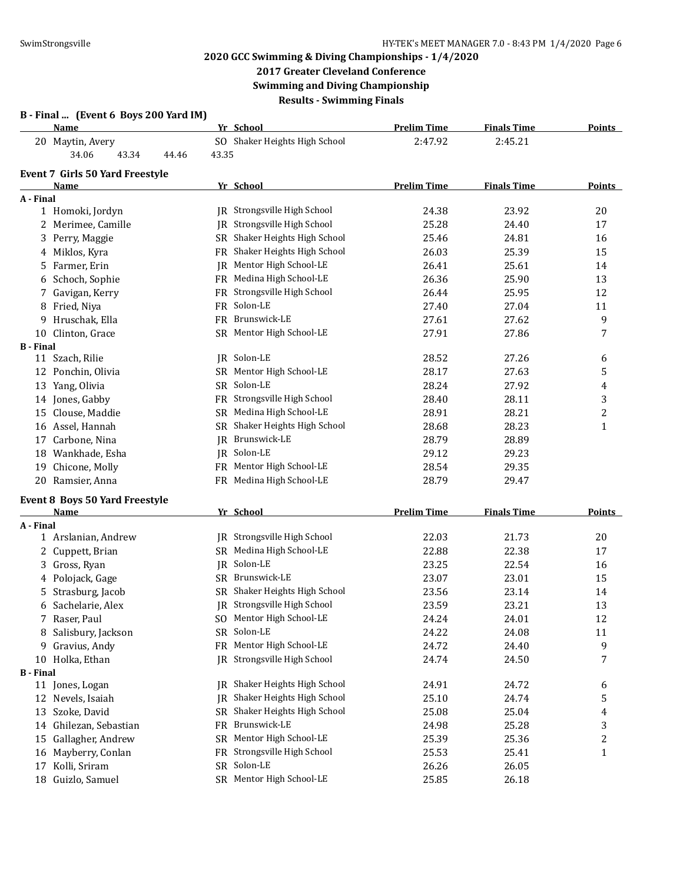# **2017 Greater Cleveland Conference**

**Swimming and Diving Championship Results - Swimming Finals**

| <b>Name</b>                            |       | Yr School                          | <b>Prelim Time</b> | <b>Finals Time</b> | <b>Points</b>           |
|----------------------------------------|-------|------------------------------------|--------------------|--------------------|-------------------------|
| 20 Maytin, Avery                       |       | SO Shaker Heights High School      | 2:47.92            | 2:45.21            |                         |
| 34.06<br>43.34<br>44.46                | 43.35 |                                    |                    |                    |                         |
| <b>Event 7 Girls 50 Yard Freestyle</b> |       |                                    |                    |                    |                         |
| Name                                   |       | Yr School                          | <b>Prelim Time</b> | <b>Finals Time</b> | Points                  |
| A - Final                              |       |                                    |                    |                    |                         |
| 1 Homoki, Jordyn                       |       | <b>IR</b> Strongsville High School | 24.38              | 23.92              | 20                      |
| 2 Merimee, Camille                     |       | JR Strongsville High School        | 25.28              | 24.40              | 17                      |
| Perry, Maggie<br>3                     |       | SR Shaker Heights High School      | 25.46              | 24.81              | 16                      |
| Miklos, Kyra<br>4                      |       | FR Shaker Heights High School      | 26.03              | 25.39              | 15                      |
| Farmer, Erin<br>5                      | IR    | Mentor High School-LE              | 26.41              | 25.61              | 14                      |
| Schoch, Sophie<br>6                    |       | FR Medina High School-LE           | 26.36              | 25.90              | 13                      |
| Gavigan, Kerry<br>7                    |       | FR Strongsville High School        | 26.44              | 25.95              | 12                      |
| Fried, Niya<br>8                       |       | FR Solon-LE                        | 27.40              | 27.04              | 11                      |
| Hruschak, Ella<br>9                    |       | FR Brunswick-LE                    | 27.61              | 27.62              | 9                       |
| Clinton, Grace<br>10                   |       | SR Mentor High School-LE           | 27.91              | 27.86              | 7                       |
| <b>B</b> - Final                       |       |                                    |                    |                    |                         |
| 11 Szach, Rilie                        |       | JR Solon-LE                        | 28.52              | 27.26              | 6                       |
| 12 Ponchin, Olivia                     |       | SR Mentor High School-LE           | 28.17              | 27.63              | 5                       |
| 13 Yang, Olivia                        |       | SR Solon-LE                        | 28.24              | 27.92              | 4                       |
| 14 Jones, Gabby                        |       | FR Strongsville High School        | 28.40              | 28.11              | 3                       |
| 15 Clouse, Maddie                      |       | SR Medina High School-LE           | 28.91              | 28.21              | 2                       |
| 16 Assel, Hannah                       |       | SR Shaker Heights High School      | 28.68              | 28.23              | 1                       |
| 17 Carbone, Nina                       | IR    | Brunswick-LE                       | 28.79              | 28.89              |                         |
| 18 Wankhade, Esha                      |       | JR Solon-LE                        | 29.12              | 29.23              |                         |
| Chicone, Molly<br>19                   |       | FR Mentor High School-LE           | 28.54              | 29.35              |                         |
| 20 Ramsier, Anna                       |       | FR Medina High School-LE           | 28.79              | 29.47              |                         |
| <b>Event 8 Boys 50 Yard Freestyle</b>  |       |                                    |                    |                    |                         |
| Name                                   |       | Yr School                          | <b>Prelim Time</b> | <b>Finals Time</b> | <b>Points</b>           |
| A - Final                              |       |                                    |                    |                    |                         |
| 1 Arslanian, Andrew                    |       | IR Strongsville High School        | 22.03              | 21.73              | 20                      |
| Cuppett, Brian<br>2                    |       | SR Medina High School-LE           | 22.88              | 22.38              | 17                      |
| Gross, Ryan<br>3                       |       | JR Solon-LE                        | 23.25              | 22.54              | 16                      |
| Polojack, Gage<br>4                    |       | SR Brunswick-LE                    | 23.07              | 23.01              | 15                      |
| 5 Strasburg, Jacob                     |       | SR Shaker Heights High School      | 23.56              | 23.14              | 14                      |
| 6 Sachelarie, Alex                     |       | JR Strongsville High School        | 23.59              | 23.21              | 13                      |
| Raser, Paul<br>7                       |       | SO Mentor High School-LE           | 24.24              | 24.01              | 12                      |
| Salisbury, Jackson<br>8                |       | SR Solon-LE                        | 24.22              | 24.08              | 11                      |
| Gravius, Andy<br>9                     |       | FR Mentor High School-LE           | 24.72              | 24.40              | 9                       |
| Holka, Ethan<br>10                     | IR    | Strongsville High School           | 24.74              | 24.50              | 7                       |
| <b>B</b> - Final                       |       |                                    |                    |                    |                         |
| 11 Jones, Logan                        | IR    | Shaker Heights High School         | 24.91              | 24.72              | 6                       |
| Nevels, Isaiah<br>12                   | IR    | Shaker Heights High School         | 25.10              | 24.74              | 5                       |
| Szoke, David<br>13                     |       | SR Shaker Heights High School      | 25.08              | 25.04              | 4                       |
| Ghilezan, Sebastian<br>14              |       | FR Brunswick-LE                    | 24.98              | 25.28              | 3                       |
| Gallagher, Andrew<br>15                |       | SR Mentor High School-LE           | 25.39              | 25.36              | $\overline{\mathbf{c}}$ |
| Mayberry, Conlan<br>16                 |       | FR Strongsville High School        | 25.53              | 25.41              | $\mathbf{1}$            |
| Kolli, Sriram<br>17                    |       | SR Solon-LE                        | 26.26              | 26.05              |                         |
|                                        |       |                                    |                    |                    |                         |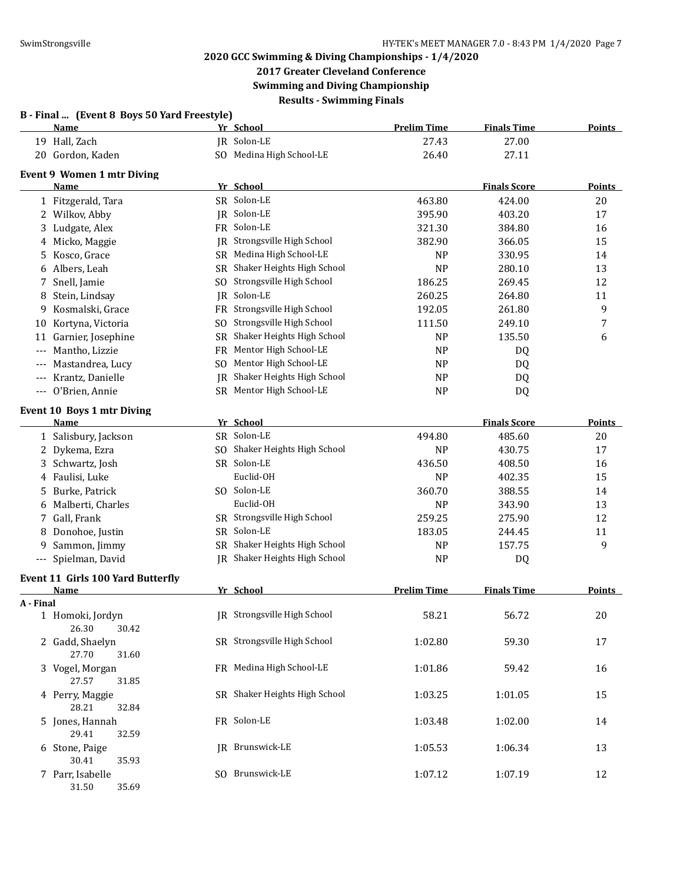# **2017 Greater Cleveland Conference**

**Swimming and Diving Championship**

**Results - Swimming Finals**

|           | B - Final  (Event 8 Boys 50 Yard Freestyle)<br>Name |           | Yr School                          | <b>Prelim Time</b> | <b>Finals Time</b>  | <b>Points</b> |
|-----------|-----------------------------------------------------|-----------|------------------------------------|--------------------|---------------------|---------------|
|           | 19 Hall, Zach                                       |           | JR Solon-LE                        | 27.43              | 27.00               |               |
|           | 20 Gordon, Kaden                                    |           | SO Medina High School-LE           | 26.40              | 27.11               |               |
|           | Event 9 Women 1 mtr Diving                          |           |                                    |                    |                     |               |
|           | Name                                                |           | Yr School                          |                    | <b>Finals Score</b> | Points        |
|           | 1 Fitzgerald, Tara                                  |           | SR Solon-LE                        | 463.80             | 424.00              | 20            |
|           | 2 Wilkov, Abby                                      |           | JR Solon-LE                        | 395.90             | 403.20              | 17            |
| 3         | Ludgate, Alex                                       |           | FR Solon-LE                        | 321.30             | 384.80              | 16            |
| 4         | Micko, Maggie                                       | IR        | Strongsville High School           | 382.90             | 366.05              | 15            |
| 5.        | Kosco, Grace                                        | SR        | Medina High School-LE              | <b>NP</b>          | 330.95              | 14            |
| 6         | Albers, Leah                                        | SR        | Shaker Heights High School         | <b>NP</b>          | 280.10              | 13            |
| 7         | Snell, Jamie                                        | SO.       | Strongsville High School           | 186.25             | 269.45              | 12            |
| 8         | Stein, Lindsay                                      | IR        | Solon-LE                           | 260.25             | 264.80              | 11            |
| 9         | Kosmalski, Grace                                    | <b>FR</b> | Strongsville High School           | 192.05             | 261.80              | 9             |
| 10        | Kortyna, Victoria                                   | SO.       | Strongsville High School           | 111.50             | 249.10              | 7             |
|           | 11 Garnier, Josephine                               | SR        | Shaker Heights High School         | <b>NP</b>          | 135.50              | 6             |
|           | --- Mantho, Lizzie                                  | FR        | Mentor High School-LE              | <b>NP</b>          | DQ                  |               |
| $---$     | Mastandrea, Lucy                                    | SO.       | Mentor High School-LE              | <b>NP</b>          | DQ                  |               |
| $---$     | Krantz, Danielle                                    | IR        | Shaker Heights High School         | <b>NP</b>          | DQ                  |               |
|           | --- O'Brien, Annie                                  |           | SR Mentor High School-LE           | <b>NP</b>          | DQ                  |               |
|           | <b>Event 10 Boys 1 mtr Diving</b>                   |           |                                    |                    |                     |               |
|           | Name                                                |           | Yr School                          |                    | <b>Finals Score</b> | <b>Points</b> |
|           | 1 Salisbury, Jackson                                |           | SR Solon-LE                        | 494.80             | 485.60              | 20            |
| 2.        | Dykema, Ezra                                        | SO.       | Shaker Heights High School         | <b>NP</b>          | 430.75              | 17            |
| 3.        | Schwartz, Josh                                      |           | SR Solon-LE                        | 436.50             | 408.50              | 16            |
| 4         | Faulisi, Luke                                       |           | Euclid-OH                          | <b>NP</b>          | 402.35              | 15            |
| 5         | Burke, Patrick                                      |           | SO Solon-LE                        | 360.70             | 388.55              | 14            |
|           | 6 Malberti, Charles                                 |           | Euclid-OH                          | <b>NP</b>          | 343.90              | 13            |
| 7.        | Gall, Frank                                         |           | SR Strongsville High School        | 259.25             | 275.90              | 12            |
| 8         | Donohoe, Justin                                     |           | SR Solon-LE                        | 183.05             | 244.45              | 11            |
| 9         | Sammon, Jimmy                                       | SR        | Shaker Heights High School         | <b>NP</b>          | 157.75              | 9             |
|           | --- Spielman, David                                 |           | JR Shaker Heights High School      | <b>NP</b>          | DQ                  |               |
|           | <b>Event 11 Girls 100 Yard Butterfly</b>            |           |                                    |                    |                     |               |
|           | Name                                                |           | Yr School                          | <b>Prelim Time</b> | <b>Finals Time</b>  | Points        |
| A - Final | 1 Homoki, Jordyn                                    |           | <b>IR</b> Strongsville High School | 58.21              | 56.72               | 20            |
|           | 26.30<br>30.42                                      |           |                                    |                    |                     |               |
|           | 2 Gadd, Shaelyn                                     |           | SR Strongsville High School        | 1:02.80            | 59.30               | 17            |
|           | 27.70<br>31.60                                      |           |                                    |                    |                     |               |
|           | 3 Vogel, Morgan                                     |           | FR Medina High School-LE           | 1:01.86            | 59.42               | 16            |
|           | 27.57<br>31.85                                      |           |                                    |                    |                     |               |
|           | 4 Perry, Maggie                                     |           | SR Shaker Heights High School      | 1:03.25            | 1:01.05             | 15            |
|           | 28.21<br>32.84                                      |           |                                    |                    |                     |               |
|           | 5 Jones, Hannah                                     |           | FR Solon-LE                        | 1:03.48            | 1:02.00             | 14            |
|           | 29.41<br>32.59                                      |           |                                    |                    |                     |               |
|           | 6 Stone, Paige                                      |           | JR Brunswick-LE                    | 1:05.53            | 1:06.34             | 13            |
|           | 30.41<br>35.93                                      |           |                                    |                    |                     |               |
|           | 7 Parr, Isabelle                                    |           | SO Brunswick-LE                    | 1:07.12            | 1:07.19             | 12            |
|           | 35.69<br>31.50                                      |           |                                    |                    |                     |               |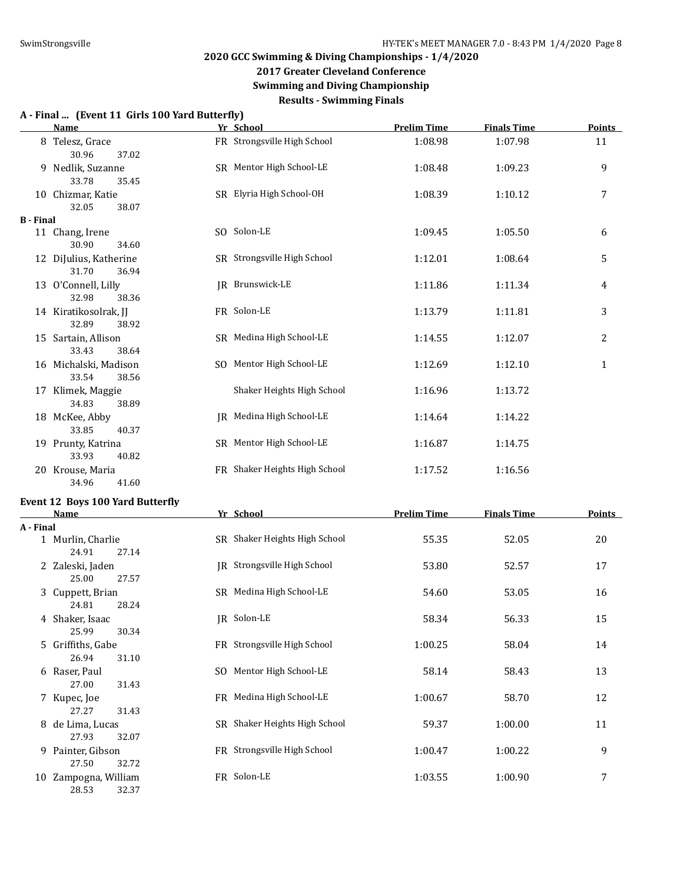**2017 Greater Cleveland Conference**

**Swimming and Diving Championship**

**Results - Swimming Finals**

#### **A - Final ... (Event 11 Girls 100 Yard Butterfly)**

|                  | <b>Name</b>                              | Yr School                     | <b>Prelim Time</b> | <b>Finals Time</b> | <b>Points</b>  |
|------------------|------------------------------------------|-------------------------------|--------------------|--------------------|----------------|
|                  | 8 Telesz, Grace<br>30.96<br>37.02        | FR Strongsville High School   | 1:08.98            | 1:07.98            | 11             |
|                  | 9 Nedlik, Suzanne<br>33.78<br>35.45      | SR Mentor High School-LE      | 1:08.48            | 1:09.23            | 9              |
|                  | 10 Chizmar, Katie<br>32.05<br>38.07      | SR Elyria High School-OH      | 1:08.39            | 1:10.12            | 7              |
| <b>B</b> - Final |                                          |                               |                    |                    |                |
|                  | 11 Chang, Irene<br>30.90<br>34.60        | SO Solon-LE                   | 1:09.45            | 1:05.50            | 6              |
|                  | 12 DiJulius, Katherine<br>31.70<br>36.94 | SR Strongsville High School   | 1:12.01            | 1:08.64            | 5              |
|                  | 13 O'Connell, Lilly<br>32.98<br>38.36    | JR Brunswick-LE               | 1:11.86            | 1:11.34            | 4              |
|                  | 14 Kiratikosolrak, JJ<br>32.89<br>38.92  | FR Solon-LE                   | 1:13.79            | 1:11.81            | 3              |
|                  | 15 Sartain, Allison<br>33.43<br>38.64    | SR Medina High School-LE      | 1:14.55            | 1:12.07            | $\overline{2}$ |
|                  | 16 Michalski, Madison<br>33.54<br>38.56  | SO Mentor High School-LE      | 1:12.69            | 1:12.10            | $\mathbf{1}$   |
|                  | 17 Klimek, Maggie<br>34.83<br>38.89      | Shaker Heights High School    | 1:16.96            | 1:13.72            |                |
|                  | 18 McKee, Abby<br>33.85<br>40.37         | IR Medina High School-LE      | 1:14.64            | 1:14.22            |                |
|                  | 19 Prunty, Katrina<br>33.93<br>40.82     | SR Mentor High School-LE      | 1:16.87            | 1:14.75            |                |
|                  | 20 Krouse, Maria<br>34.96<br>41.60       | FR Shaker Heights High School | 1:17.52            | 1:16.56            |                |

# **Event 12 Boys 100 Yard Butterfly**

|           | <b>Name</b>       |     | Yr School                     | <b>Prelim Time</b> | <b>Finals Time</b> | Points |
|-----------|-------------------|-----|-------------------------------|--------------------|--------------------|--------|
| A - Final |                   |     |                               |                    |                    |        |
|           | 1 Murlin, Charlie |     | SR Shaker Heights High School | 55.35              | 52.05              | 20     |
|           | 24.91<br>27.14    |     |                               |                    |                    |        |
|           | 2 Zaleski, Jaden  |     | JR Strongsville High School   | 53.80              | 52.57              | 17     |
|           | 25.00<br>27.57    |     |                               |                    |                    |        |
|           | 3 Cuppett, Brian  |     | SR Medina High School-LE      | 54.60              | 53.05              | 16     |
|           | 28.24<br>24.81    |     |                               |                    |                    |        |
|           | 4 Shaker, Isaac   |     | JR Solon-LE                   | 58.34              | 56.33              | 15     |
|           | 25.99<br>30.34    |     |                               |                    |                    |        |
|           | 5 Griffiths, Gabe |     | FR Strongsville High School   | 1:00.25            | 58.04              | 14     |
|           | 26.94<br>31.10    |     |                               |                    |                    |        |
|           | 6 Raser, Paul     | SO. | Mentor High School-LE         | 58.14              | 58.43              | 13     |
|           | 27.00<br>31.43    |     |                               |                    |                    |        |
|           | 7 Kupec, Joe      |     | FR Medina High School-LE      | 1:00.67            | 58.70              | 12     |
|           | 27.27<br>31.43    |     |                               |                    |                    |        |
| 8         | de Lima, Lucas    |     | SR Shaker Heights High School | 59.37              | 1:00.00            | 11     |
|           | 27.93<br>32.07    |     |                               |                    |                    |        |
| 9         | Painter, Gibson   |     | FR Strongsville High School   | 1:00.47            | 1:00.22            | 9      |
|           | 27.50<br>32.72    |     |                               |                    |                    |        |
| 10        | Zampogna, William |     | FR Solon-LE                   | 1:03.55            | 1:00.90            | 7      |
|           | 28.53<br>32.37    |     |                               |                    |                    |        |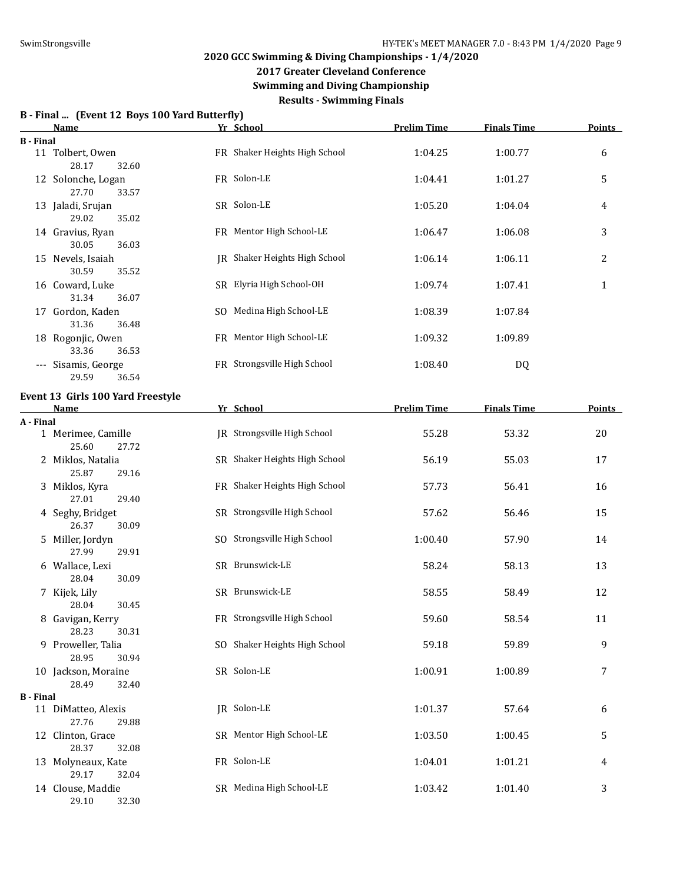**2017 Greater Cleveland Conference**

**Swimming and Diving Championship**

**Results - Swimming Finals**

## **B - Final ... (Event 12 Boys 100 Yard Butterfly)**

|                  | B - Final  (Event 12 Boys Too fard Butterliy)<br><b>Name</b> | Yr School       |                               | <b>Prelim Time</b> | <b>Finals Time</b> | <b>Points</b> |
|------------------|--------------------------------------------------------------|-----------------|-------------------------------|--------------------|--------------------|---------------|
| <b>B</b> - Final |                                                              |                 |                               |                    |                    |               |
|                  | 11 Tolbert, Owen<br>28.17<br>32.60                           |                 | FR Shaker Heights High School | 1:04.25            | 1:00.77            | 6             |
|                  | 12 Solonche, Logan<br>27.70<br>33.57                         | FR Solon-LE     |                               | 1:04.41            | 1:01.27            | 5             |
|                  | 13 Jaladi, Srujan<br>29.02<br>35.02                          | SR Solon-LE     |                               | 1:05.20            | 1:04.04            | 4             |
|                  | 14 Gravius, Ryan<br>30.05<br>36.03                           |                 | FR Mentor High School-LE      | 1:06.47            | 1:06.08            | 3             |
|                  | 15 Nevels, Isaiah<br>30.59<br>35.52                          |                 | JR Shaker Heights High School | 1:06.14            | 1:06.11            | 2             |
|                  | 16 Coward, Luke<br>31.34<br>36.07                            |                 | SR Elyria High School-OH      | 1:09.74            | 1:07.41            | $\mathbf{1}$  |
|                  | 17 Gordon, Kaden<br>31.36<br>36.48                           |                 | SO Medina High School-LE      | 1:08.39            | 1:07.84            |               |
|                  | 18 Rogonjic, Owen<br>33.36<br>36.53                          |                 | FR Mentor High School-LE      | 1:09.32            | 1:09.89            |               |
|                  | --- Sisamis, George<br>29.59<br>36.54                        |                 | FR Strongsville High School   | 1:08.40            | DQ                 |               |
|                  | Event 13 Girls 100 Yard Freestyle                            |                 |                               |                    |                    |               |
|                  | <u>Name</u>                                                  | Yr School       |                               | <b>Prelim Time</b> | <b>Finals Time</b> | <b>Points</b> |
| A - Final        |                                                              |                 |                               |                    |                    |               |
|                  | 1 Merimee, Camille<br>25.60<br>27.72                         |                 | JR Strongsville High School   | 55.28              | 53.32              | 20            |
|                  | 2 Miklos, Natalia<br>25.87<br>29.16                          |                 | SR Shaker Heights High School | 56.19              | 55.03              | 17            |
|                  | 3 Miklos, Kyra<br>27.01<br>29.40                             |                 | FR Shaker Heights High School | 57.73              | 56.41              | 16            |
|                  | 4 Seghy, Bridget<br>26.37<br>30.09                           |                 | SR Strongsville High School   | 57.62              | 56.46              | 15            |
|                  | 5 Miller, Jordyn<br>27.99<br>29.91                           |                 | SO Strongsville High School   | 1:00.40            | 57.90              | 14            |
|                  | 6 Wallace, Lexi<br>28.04<br>30.09                            | SR Brunswick-LE |                               | 58.24              | 58.13              | 13            |
|                  | 7 Kijek, Lily<br>28.04<br>30.45                              | SR Brunswick-LE |                               | 58.55              | 58.49              | 12            |
|                  | 8 Gavigan, Kerry<br>28.23<br>30.31                           |                 | FR Strongsville High School   | 59.60              | 58.54              | 11            |
|                  | 9 Proweller, Talia<br>28.95<br>30.94                         |                 | SO Shaker Heights High School | 59.18              | 59.89              | 9             |
|                  | 10 Jackson, Moraine                                          | SR Solon-LE     |                               | 1:00.91            | 1:00.89            | 7             |

28.49 32.40 **B - Final** 11 DiMatteo, Alexis **IR** Solon-LE 1:01.37 57.64 6 27.76 29.88 12 Clinton, Grace SR Mentor High School-LE 1:03.50 1:00.45 5 28.37 32.08

13 Molyneaux, Kate **FR** Solon-LE 1:04.01 1:01.21 4 29.17 32.04 14 Clouse, Maddie SR Medina High School-LE 1:03.42 1:01.40 3

29.10 32.30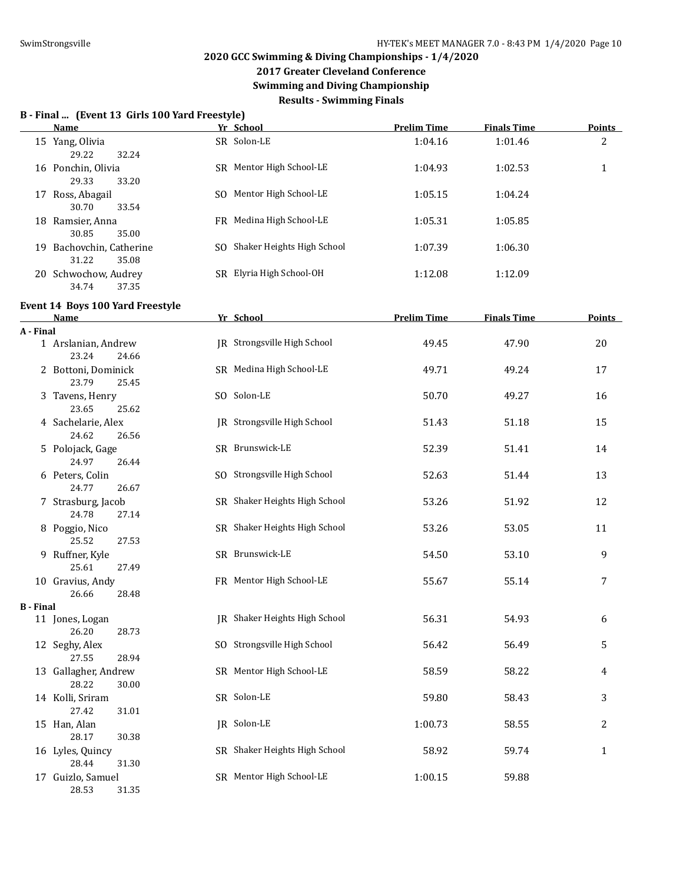**2017 Greater Cleveland Conference**

**Swimming and Diving Championship**

**Results - Swimming Finals**

#### **B - Final ... (Event 13 Girls 100 Yard Freestyle)**

**Event 14 Boys 100 Yard Freestyle**

|    | <b>Name</b>           |     | Yr School                  | <b>Prelim Time</b> | <b>Finals Time</b> | <b>Points</b> |
|----|-----------------------|-----|----------------------------|--------------------|--------------------|---------------|
|    | 15 Yang, Olivia       |     | SR Solon-LE                | 1:04.16            | 1:01.46            | 2             |
|    | 32.24<br>29.22        |     |                            |                    |                    |               |
|    | 16 Ponchin, Olivia    |     | SR Mentor High School-LE   | 1:04.93            | 1:02.53            |               |
|    | 33.20<br>29.33        |     |                            |                    |                    |               |
|    | 17 Ross, Abagail      | SO. | Mentor High School-LE      | 1:05.15            | 1:04.24            |               |
|    | 30.70<br>33.54        |     |                            |                    |                    |               |
|    | 18 Ramsier, Anna      |     | FR Medina High School-LE   | 1:05.31            | 1:05.85            |               |
|    | 35.00<br>30.85        |     |                            |                    |                    |               |
| 19 | Bachovchin, Catherine | SO. | Shaker Heights High School | 1:07.39            | 1:06.30            |               |
|    | 31.22<br>35.08        |     |                            |                    |                    |               |
| 20 | Schwochow, Audrey     |     | SR Elyria High School-OH   | 1:12.08            | 1:12.09            |               |
|    | 37.35<br>34.74        |     |                            |                    |                    |               |

#### **Name Yr School Prelim Time Finals Time Points A - Final** 1 Arslanian, Andrew JR Strongsville High School 49.45 47.90 20 23.24 24.66 2 Bottoni, Dominick SR Medina High School-LE 49.71 49.24 17 23.79 25.45 3 Tavens, Henry SO Solon-LE 50.70 49.27 16 23.65 25.62 4 Sachelarie, Alex **JR** Strongsville High School 51.43 51.18 51.18 51.18 24.62 26.56 5 Polojack, Gage SR Brunswick-LE 52.39 51.41 14 24.97 26.44 6 Peters, Colin **SO Strongsville High School** 52.63 51.44 13 24.77 26.67 7 Strasburg, Jacob SR Shaker Heights High School 53.26 51.92 12 24.78 27.14 8 Poggio, Nico 63.05 SR Shaker Heights High School 53.26 53.05 53.05 53.05 53.05 11 25.52 27.53 9 Ruffner, Kyle SR Brunswick-LE 54.50 53.10 9 25.61 27.49 10 Gravius, Andy **FR** Mentor High School-LE 55.67 55.14 7 26.66 28.48 **B - Final** 11 Jones, Logan JR Shaker Heights High School 56.31 54.93 6 26.20 28.73 12 Seghy, Alex SO Strongsville High School 56.42 56.49 56.49 56.49 27.55 28.94 13 Gallagher, Andrew SR Mentor High School-LE 58.59 58.22 4 28.22 30.00 14 Kolli, Sriram SR Solon-LE 59.80 58.43 3 27.42 31.01 15 Han, Alan JR Solon-LE 1:00.73 58.55 2 28.17 30.38 16 Lyles, Quincy SR Shaker Heights High School 58.92 59.74 1 28.44 31.30 17 Guizlo, Samuel SR Mentor High School-LE 1:00.15 59.88 28.53 31.35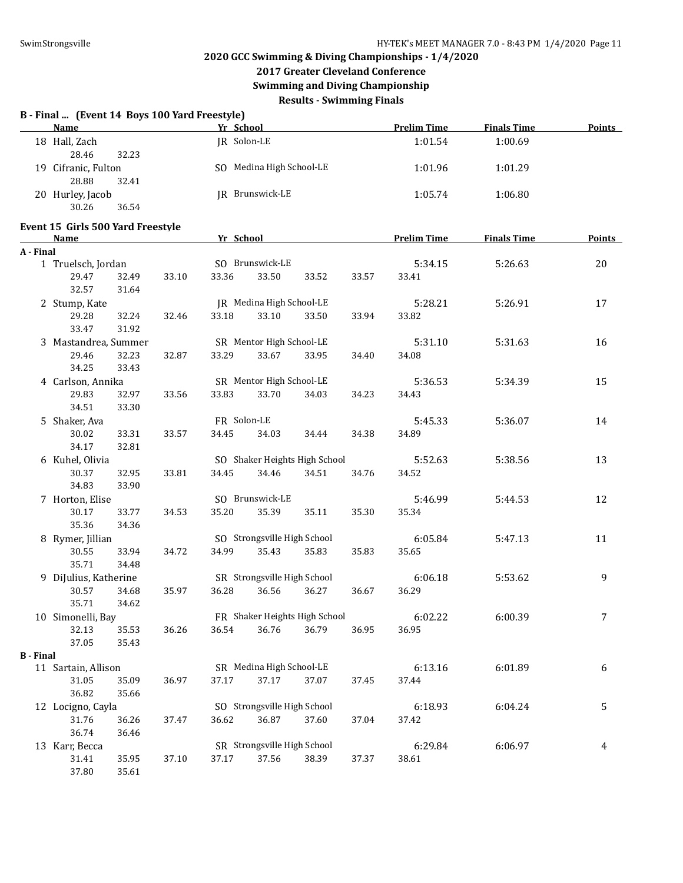**2017 Greater Cleveland Conference**

**Swimming and Diving Championship**

**Results - Swimming Finals**

|  |  |  | B - Final  (Event 14 Boys 100 Yard Freestyle) |
|--|--|--|-----------------------------------------------|
|--|--|--|-----------------------------------------------|

| <b>Name</b>         | Yr School                | <b>Prelim Time</b> | <b>Finals Time</b> | <b>Points</b> |
|---------------------|--------------------------|--------------------|--------------------|---------------|
| 18 Hall, Zach       | JR Solon-LE              | 1:01.54            | 1:00.69            |               |
| 28.46<br>32.23      |                          |                    |                    |               |
| 19 Cifranic, Fulton | SO Medina High School-LE | 1:01.96            | 1:01.29            |               |
| 32.41<br>28.88      |                          |                    |                    |               |
| 20 Hurley, Jacob    | JR Brunswick-LE          | 1:05.74            | 1:06.80            |               |
| 30.26<br>36.54      |                          |                    |                    |               |

#### **Event 15 Girls 500 Yard Freestyle**

|                  | <b>Name</b>                      |       | Yr School   |                             |                               |       | <b>Prelim Time</b> | <b>Finals Time</b> | <b>Points</b> |
|------------------|----------------------------------|-------|-------------|-----------------------------|-------------------------------|-------|--------------------|--------------------|---------------|
| A - Final        |                                  |       |             |                             |                               |       |                    |                    |               |
|                  | 1 Truelsch, Jordan               |       |             | SO Brunswick-LE             |                               |       | 5:34.15            | 5:26.63            | 20            |
|                  | 29.47<br>32.49<br>32.57<br>31.64 | 33.10 | 33.36       | 33.50                       | 33.52                         | 33.57 | 33.41              |                    |               |
|                  | 2 Stump, Kate                    |       |             | JR Medina High School-LE    |                               |       | 5:28.21            | 5:26.91            | 17            |
|                  | 29.28<br>32.24<br>33.47<br>31.92 | 32.46 | 33.18       | 33.10                       | 33.50                         | 33.94 | 33.82              |                    |               |
|                  | 3 Mastandrea, Summer             |       |             | SR Mentor High School-LE    |                               |       | 5:31.10            | 5:31.63            | 16            |
|                  | 29.46<br>32.23<br>34.25<br>33.43 | 32.87 | 33.29       | 33.67                       | 33.95                         | 34.40 | 34.08              |                    |               |
|                  | 4 Carlson, Annika                |       |             | SR Mentor High School-LE    |                               |       | 5:36.53            | 5:34.39            | 15            |
|                  | 29.83<br>32.97<br>34.51<br>33.30 | 33.56 | 33.83       | 33.70                       | 34.03                         | 34.23 | 34.43              |                    |               |
|                  | 5 Shaker, Ava                    |       | FR Solon-LE |                             |                               |       | 5:45.33            | 5:36.07            | 14            |
|                  | 30.02<br>33.31<br>34.17<br>32.81 | 33.57 | 34.45       | 34.03                       | 34.44                         | 34.38 | 34.89              |                    |               |
|                  | 6 Kuhel, Olivia                  |       |             |                             | SO Shaker Heights High School |       | 5:52.63            | 5:38.56            | 13            |
|                  | 30.37<br>32.95<br>34.83<br>33.90 | 33.81 | 34.45       | 34.46                       | 34.51                         | 34.76 | 34.52              |                    |               |
|                  | 7 Horton, Elise                  |       |             | SO Brunswick-LE             |                               |       | 5:46.99            | 5:44.53            | 12            |
|                  | 30.17<br>33.77<br>35.36<br>34.36 | 34.53 | 35.20       | 35.39                       | 35.11                         | 35.30 | 35.34              |                    |               |
|                  | 8 Rymer, Jillian                 |       |             | SO Strongsville High School |                               |       | 6:05.84            | 5:47.13            | 11            |
|                  | 30.55<br>33.94<br>35.71<br>34.48 | 34.72 | 34.99       | 35.43                       | 35.83                         | 35.83 | 35.65              |                    |               |
|                  | 9 DiJulius, Katherine            |       |             | SR Strongsville High School |                               |       | 6:06.18            | 5:53.62            | 9             |
|                  | 30.57<br>34.68<br>35.71<br>34.62 | 35.97 | 36.28       | 36.56                       | 36.27                         | 36.67 | 36.29              |                    |               |
|                  | 10 Simonelli, Bay                |       |             |                             | FR Shaker Heights High School |       | 6:02.22            | 6:00.39            | 7             |
|                  | 32.13<br>35.53<br>37.05<br>35.43 | 36.26 | 36.54       | 36.76                       | 36.79                         | 36.95 | 36.95              |                    |               |
| <b>B</b> - Final |                                  |       |             |                             |                               |       |                    |                    |               |
|                  | 11 Sartain, Allison              |       |             | SR Medina High School-LE    |                               |       | 6:13.16            | 6:01.89            | 6             |
|                  | 31.05<br>35.09<br>36.82<br>35.66 | 36.97 | 37.17       | 37.17                       | 37.07                         | 37.45 | 37.44              |                    |               |
|                  | 12 Locigno, Cayla                |       |             | SO Strongsville High School |                               |       | 6:18.93            | 6:04.24            | 5             |
|                  | 31.76<br>36.26<br>36.74<br>36.46 | 37.47 | 36.62       | 36.87                       | 37.60                         | 37.04 | 37.42              |                    |               |
|                  | 13 Karr, Becca                   |       |             | SR Strongsville High School |                               |       | 6:29.84            | 6:06.97            | 4             |
|                  | 35.95<br>31.41<br>37.80<br>35.61 | 37.10 | 37.17       | 37.56                       | 38.39                         | 37.37 | 38.61              |                    |               |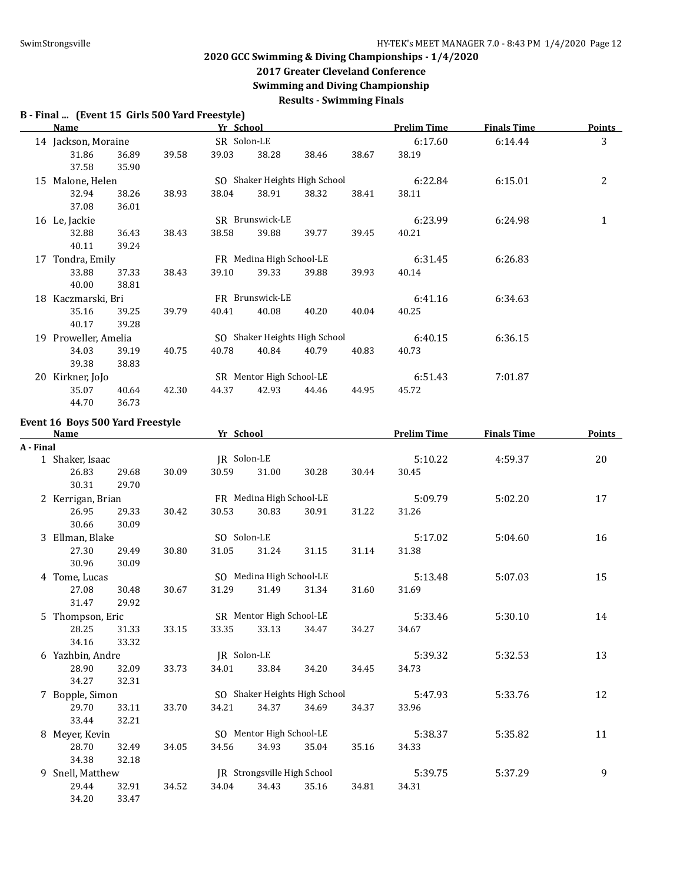**2017 Greater Cleveland Conference**

**Swimming and Diving Championship**

**Results - Swimming Finals**

**B - Final ... (Event 15 Girls 500 Yard Freestyle)**

|    | Name                 |                |       | Yr School   |                               |       |       | <b>Prelim Time</b> | <b>Finals Time</b> | Points |
|----|----------------------|----------------|-------|-------------|-------------------------------|-------|-------|--------------------|--------------------|--------|
|    | 14 Jackson, Moraine  |                |       | SR Solon-LE |                               |       |       | 6:17.60            | 6:14.44            | 3      |
|    | 31.86<br>37.58       | 36.89<br>35.90 | 39.58 | 39.03       | 38.28                         | 38.46 | 38.67 | 38.19              |                    |        |
| 15 | Malone, Helen        |                |       |             | SO Shaker Heights High School |       |       | 6:22.84            | 6:15.01            | 2      |
|    | 32.94                | 38.26          | 38.93 | 38.04       | 38.91                         | 38.32 | 38.41 | 38.11              |                    |        |
|    | 37.08                | 36.01          |       |             |                               |       |       |                    |                    |        |
|    | 16 Le, Jackie        |                |       |             | SR Brunswick-LE               |       |       | 6:23.99            | 6:24.98            | 1      |
|    | 32.88                | 36.43          | 38.43 | 38.58       | 39.88                         | 39.77 | 39.45 | 40.21              |                    |        |
|    | 40.11                | 39.24          |       |             |                               |       |       |                    |                    |        |
|    | 17 Tondra, Emily     |                |       |             | FR Medina High School-LE      |       |       | 6:31.45            | 6:26.83            |        |
|    | 33.88                | 37.33          | 38.43 | 39.10       | 39.33                         | 39.88 | 39.93 | 40.14              |                    |        |
|    | 40.00                | 38.81          |       |             |                               |       |       |                    |                    |        |
| 18 | Kaczmarski, Bri      |                |       |             | FR Brunswick-LE               |       |       | 6:41.16            | 6:34.63            |        |
|    | 35.16                | 39.25          | 39.79 | 40.41       | 40.08                         | 40.20 | 40.04 | 40.25              |                    |        |
|    | 40.17                | 39.28          |       |             |                               |       |       |                    |                    |        |
|    | 19 Proweller, Amelia |                |       | SO.         | Shaker Heights High School    |       |       | 6:40.15            | 6:36.15            |        |
|    | 34.03                | 39.19          | 40.75 | 40.78       | 40.84                         | 40.79 | 40.83 | 40.73              |                    |        |
|    | 39.38                | 38.83          |       |             |                               |       |       |                    |                    |        |
| 20 | Kirkner, JoJo        |                |       |             | SR Mentor High School-LE      |       |       | 6:51.43            | 7:01.87            |        |
|    | 35.07                | 40.64          | 42.30 | 44.37       | 42.93                         | 44.46 | 44.95 | 45.72              |                    |        |

#### **Event 16 Boys 500 Yard Freestyle**

44.70 36.73

|                 | <b>Name</b>       |       |       | Yr School   |                             |                               |       | <b>Prelim Time</b> | <b>Finals Time</b> | Points |
|-----------------|-------------------|-------|-------|-------------|-----------------------------|-------------------------------|-------|--------------------|--------------------|--------|
|                 | A - Final         |       |       |             |                             |                               |       |                    |                    |        |
| 1 Shaker, Isaac |                   |       |       | IR Solon-LE |                             |                               |       | 5:10.22            | 4:59.37            | 20     |
|                 | 26.83             | 29.68 | 30.09 | 30.59       | 31.00                       | 30.28                         | 30.44 | 30.45              |                    |        |
|                 | 30.31             | 29.70 |       |             |                             |                               |       |                    |                    |        |
|                 | 2 Kerrigan, Brian |       |       |             | FR Medina High School-LE    |                               |       | 5:09.79            | 5:02.20            | 17     |
|                 | 26.95             | 29.33 | 30.42 | 30.53       | 30.83                       | 30.91                         | 31.22 | 31.26              |                    |        |
|                 | 30.66             | 30.09 |       |             |                             |                               |       |                    |                    |        |
|                 | 3 Ellman, Blake   |       |       | SO Solon-LE |                             |                               |       | 5:17.02            | 5:04.60            | 16     |
|                 | 27.30             | 29.49 | 30.80 | 31.05       | 31.24                       | 31.15                         | 31.14 | 31.38              |                    |        |
|                 | 30.96             | 30.09 |       |             |                             |                               |       |                    |                    |        |
|                 | 4 Tome, Lucas     |       |       |             | SO Medina High School-LE    |                               |       | 5:13.48            | 5:07.03            | 15     |
|                 | 27.08             | 30.48 | 30.67 | 31.29       | 31.49                       | 31.34                         | 31.60 | 31.69              |                    |        |
|                 | 31.47             | 29.92 |       |             |                             |                               |       |                    |                    |        |
|                 | 5 Thompson, Eric  |       |       |             | SR Mentor High School-LE    |                               |       | 5:33.46            | 5:30.10            | 14     |
|                 | 28.25             | 31.33 | 33.15 | 33.35       | 33.13                       | 34.47                         | 34.27 | 34.67              |                    |        |
|                 | 34.16             | 33.32 |       |             |                             |                               |       |                    |                    |        |
|                 | 6 Yazhbin, Andre  |       |       | JR Solon-LE |                             |                               |       | 5:39.32            | 5:32.53            | 13     |
|                 | 28.90             | 32.09 | 33.73 | 34.01       | 33.84                       | 34.20                         | 34.45 | 34.73              |                    |        |
|                 | 34.27             | 32.31 |       |             |                             |                               |       |                    |                    |        |
|                 | 7 Bopple, Simon   |       |       |             |                             | SO Shaker Heights High School |       | 5:47.93            | 5:33.76            | 12     |
|                 | 29.70             | 33.11 | 33.70 | 34.21       | 34.37                       | 34.69                         | 34.37 | 33.96              |                    |        |
|                 | 33.44             | 32.21 |       |             |                             |                               |       |                    |                    |        |
|                 | 8 Meyer, Kevin    |       |       |             | SO Mentor High School-LE    |                               |       | 5:38.37            | 5:35.82            | 11     |
|                 | 28.70             | 32.49 | 34.05 | 34.56       | 34.93                       | 35.04                         | 35.16 | 34.33              |                    |        |
|                 | 34.38             | 32.18 |       |             |                             |                               |       |                    |                    |        |
|                 | 9 Snell, Matthew  |       |       |             | IR Strongsville High School |                               |       | 5:39.75            | 5:37.29            | 9      |
|                 | 29.44             | 32.91 | 34.52 | 34.04       | 34.43                       | 35.16                         | 34.81 | 34.31              |                    |        |
|                 | 34.20             | 33.47 |       |             |                             |                               |       |                    |                    |        |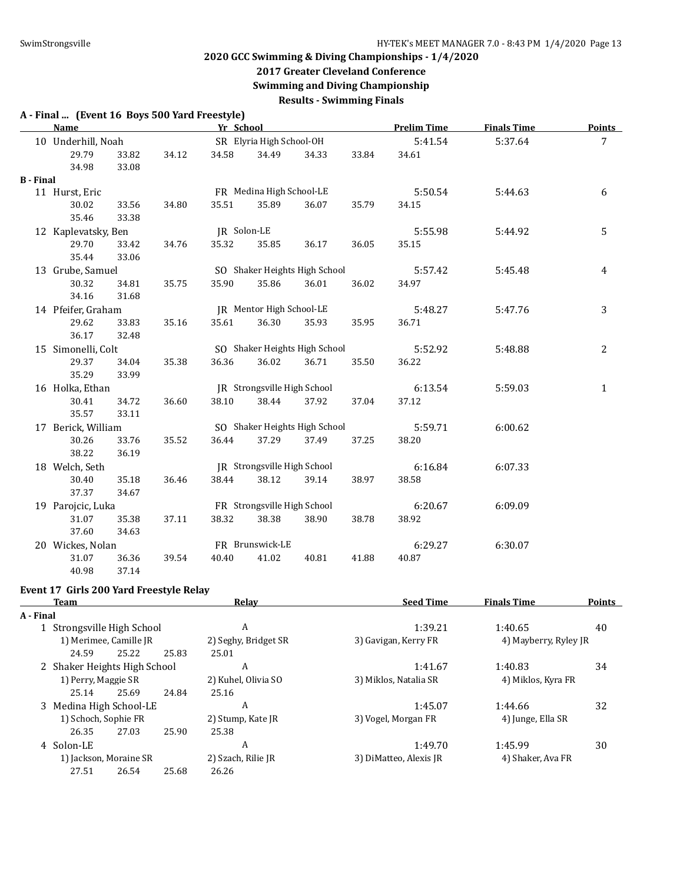#### **2017 Greater Cleveland Conference**

**Swimming and Diving Championship**

**Results - Swimming Finals**

#### **A - Final ... (Event 16 Boys 500 Yard Freestyle)**

|                  | Name                |       |       | Yr School   |                               |       |       | <b>Prelim Time</b> | <b>Finals Time</b> | <b>Points</b>   |
|------------------|---------------------|-------|-------|-------------|-------------------------------|-------|-------|--------------------|--------------------|-----------------|
|                  | 10 Underhill, Noah  |       |       |             | SR Elyria High School-OH      |       |       | 5:41.54            | 5:37.64            | $7\overline{ }$ |
|                  | 29.79               | 33.82 | 34.12 | 34.58       | 34.49                         | 34.33 | 33.84 | 34.61              |                    |                 |
|                  | 34.98               | 33.08 |       |             |                               |       |       |                    |                    |                 |
| <b>B</b> - Final |                     |       |       |             |                               |       |       |                    |                    |                 |
|                  | 11 Hurst, Eric      |       |       |             | FR Medina High School-LE      |       |       | 5:50.54            | 5:44.63            | 6               |
|                  | 30.02               | 33.56 | 34.80 | 35.51       | 35.89                         | 36.07 | 35.79 | 34.15              |                    |                 |
|                  | 35.46               | 33.38 |       |             |                               |       |       |                    |                    |                 |
|                  | 12 Kaplevatsky, Ben |       |       | JR Solon-LE |                               |       |       | 5:55.98            | 5:44.92            | 5               |
|                  | 29.70               | 33.42 | 34.76 | 35.32       | 35.85                         | 36.17 | 36.05 | 35.15              |                    |                 |
|                  | 35.44               | 33.06 |       |             |                               |       |       |                    |                    |                 |
|                  | 13 Grube, Samuel    |       |       |             | SO Shaker Heights High School |       |       | 5:57.42            | 5:45.48            | 4               |
|                  | 30.32               | 34.81 | 35.75 | 35.90       | 35.86                         | 36.01 | 36.02 | 34.97              |                    |                 |
|                  | 34.16               | 31.68 |       |             |                               |       |       |                    |                    |                 |
|                  | 14 Pfeifer, Graham  |       |       |             | JR Mentor High School-LE      |       |       | 5:48.27            | 5:47.76            | 3               |
|                  | 29.62               | 33.83 | 35.16 | 35.61       | 36.30                         | 35.93 | 35.95 | 36.71              |                    |                 |
|                  | 36.17               | 32.48 |       |             |                               |       |       |                    |                    |                 |
|                  | 15 Simonelli, Colt  |       |       |             | SO Shaker Heights High School |       |       | 5:52.92            | 5:48.88            | $\overline{2}$  |
|                  | 29.37               | 34.04 | 35.38 | 36.36       | 36.02                         | 36.71 | 35.50 | 36.22              |                    |                 |
|                  | 35.29               | 33.99 |       |             |                               |       |       |                    |                    |                 |
|                  | 16 Holka, Ethan     |       |       |             | IR Strongsville High School   |       |       | 6:13.54            | 5:59.03            | $\mathbf{1}$    |
|                  | 30.41               | 34.72 | 36.60 | 38.10       | 38.44                         | 37.92 | 37.04 | 37.12              |                    |                 |
|                  | 35.57               | 33.11 |       |             |                               |       |       |                    |                    |                 |
|                  | 17 Berick, William  |       |       |             | SO Shaker Heights High School |       |       | 5:59.71            | 6:00.62            |                 |
|                  | 30.26               | 33.76 | 35.52 | 36.44       | 37.29                         | 37.49 | 37.25 | 38.20              |                    |                 |
|                  | 38.22               | 36.19 |       |             |                               |       |       |                    |                    |                 |
|                  | 18 Welch, Seth      |       |       |             | JR Strongsville High School   |       |       | 6:16.84            | 6:07.33            |                 |
|                  | 30.40               | 35.18 | 36.46 | 38.44       | 38.12                         | 39.14 | 38.97 | 38.58              |                    |                 |
|                  | 37.37               | 34.67 |       |             |                               |       |       |                    |                    |                 |
|                  | 19 Parojcic, Luka   |       |       |             | FR Strongsville High School   |       |       | 6:20.67            | 6:09.09            |                 |
|                  | 31.07               | 35.38 | 37.11 | 38.32       | 38.38                         | 38.90 | 38.78 | 38.92              |                    |                 |
|                  | 37.60               | 34.63 |       |             |                               |       |       |                    |                    |                 |
|                  | 20 Wickes, Nolan    |       |       |             | FR Brunswick-LE               |       |       | 6:29.27            | 6:30.07            |                 |
|                  | 31.07               | 36.36 | 39.54 | 40.40       | 41.02                         | 40.81 | 41.88 | 40.87              |                    |                 |
|                  | 40.98               | 37.14 |       |             |                               |       |       |                    |                    |                 |

### **Event 17 Girls 200 Yard Freestyle Relay**

| Team       |       |                                             | Relay                                                                                                                                   | <b>Seed Time</b>       | <b>Finals Time</b> |                                                                                       |  |  |  |  |
|------------|-------|---------------------------------------------|-----------------------------------------------------------------------------------------------------------------------------------------|------------------------|--------------------|---------------------------------------------------------------------------------------|--|--|--|--|
| A - Final  |       |                                             |                                                                                                                                         |                        |                    |                                                                                       |  |  |  |  |
|            |       |                                             | A                                                                                                                                       | 1:39.21                | 1:40.65            | 40                                                                                    |  |  |  |  |
|            |       |                                             | 2) Seghy, Bridget SR                                                                                                                    | 3) Gavigan, Kerry FR   |                    |                                                                                       |  |  |  |  |
| 24.59      | 25.22 | 25.83                                       | 25.01                                                                                                                                   |                        |                    |                                                                                       |  |  |  |  |
|            |       |                                             | A                                                                                                                                       | 1:41.67                | 1:40.83            | 34                                                                                    |  |  |  |  |
|            |       |                                             | 2) Kuhel, Olivia SO                                                                                                                     | 3) Miklos, Natalia SR  |                    |                                                                                       |  |  |  |  |
| 25.14      | 25.69 | 24.84                                       | 25.16                                                                                                                                   |                        |                    |                                                                                       |  |  |  |  |
|            |       | A                                           | 1:45.07                                                                                                                                 | 1:44.66                | 32                 |                                                                                       |  |  |  |  |
|            |       |                                             | 2) Stump, Kate JR                                                                                                                       | 3) Vogel, Morgan FR    |                    |                                                                                       |  |  |  |  |
| 26.35      | 27.03 | 25.90                                       | 25.38                                                                                                                                   |                        |                    |                                                                                       |  |  |  |  |
| 4 Solon-LE |       |                                             | A                                                                                                                                       | 1:49.70                | 1:45.99            | 30                                                                                    |  |  |  |  |
|            |       |                                             | 2) Szach, Rilie JR                                                                                                                      | 3) DiMatteo, Alexis JR |                    |                                                                                       |  |  |  |  |
| 27.51      | 26.54 | 25.68                                       | 26.26                                                                                                                                   |                        |                    |                                                                                       |  |  |  |  |
|            |       | 1) Perry, Maggie SR<br>1) Schoch, Sophie FR | Strongsville High School<br>1) Merimee, Camille JR<br>2 Shaker Heights High School<br>3 Medina High School-LE<br>1) Jackson, Moraine SR |                        |                    | 4) Mayberry, Ryley JR<br>4) Miklos, Kyra FR<br>4) Junge, Ella SR<br>4) Shaker, Ava FR |  |  |  |  |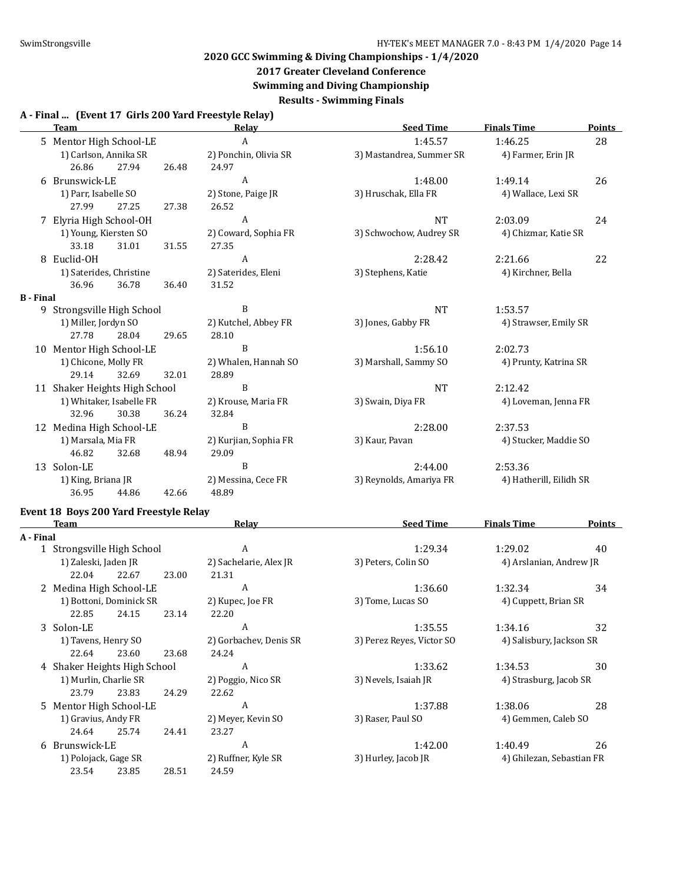# **2017 Greater Cleveland Conference**

**Swimming and Diving Championship**

**Results - Swimming Finals**

#### **A - Final ... (Event 17 Girls 200 Yard Freestyle Relay)**

|                  | <b>Team</b>                   |       |       | Relay                 | <b>Seed Time</b>         | <b>Finals Time</b>      | <b>Points</b> |
|------------------|-------------------------------|-------|-------|-----------------------|--------------------------|-------------------------|---------------|
|                  | 5 Mentor High School-LE       |       |       | A                     | 1:45.57                  | 1:46.25                 | 28            |
|                  | 1) Carlson, Annika SR         |       |       | 2) Ponchin, Olivia SR | 3) Mastandrea, Summer SR | 4) Farmer, Erin JR      |               |
|                  | 26.86                         | 27.94 | 26.48 | 24.97                 |                          |                         |               |
| 6                | Brunswick-LE                  |       |       | A                     | 1:48.00                  | 1:49.14                 | 26            |
|                  | 1) Parr, Isabelle SO          |       |       | 2) Stone, Paige JR    | 3) Hruschak, Ella FR     | 4) Wallace, Lexi SR     |               |
|                  | 27.99                         | 27.25 | 27.38 | 26.52                 |                          |                         |               |
|                  | 7 Elyria High School-OH       |       |       | A                     | <b>NT</b>                | 2:03.09                 | 24            |
|                  | 1) Young, Kiersten SO         |       |       | 2) Coward, Sophia FR  | 3) Schwochow, Audrey SR  | 4) Chizmar, Katie SR    |               |
|                  | 33.18                         | 31.01 | 31.55 | 27.35                 |                          |                         |               |
| 8                | Euclid-OH                     |       |       | A                     | 2:28.42                  | 2:21.66                 | 22            |
|                  | 1) Saterides, Christine       |       |       | 2) Saterides, Eleni   | 3) Stephens, Katie       | 4) Kirchner, Bella      |               |
|                  | 36.96                         | 36.78 | 36.40 | 31.52                 |                          |                         |               |
| <b>B</b> - Final |                               |       |       |                       |                          |                         |               |
|                  | 9 Strongsville High School    |       |       | B                     | <b>NT</b>                | 1:53.57                 |               |
|                  | 1) Miller, Jordyn SO          |       |       | 2) Kutchel, Abbey FR  | 3) Jones, Gabby FR       | 4) Strawser, Emily SR   |               |
|                  | 27.78                         | 28.04 | 29.65 | 28.10                 |                          |                         |               |
|                  | 10 Mentor High School-LE      |       |       | B                     | 1:56.10                  | 2:02.73                 |               |
|                  | 1) Chicone, Molly FR          |       |       | 2) Whalen, Hannah SO  | 3) Marshall, Sammy SO    | 4) Prunty, Katrina SR   |               |
|                  | 29.14                         | 32.69 | 32.01 | 28.89                 |                          |                         |               |
|                  | 11 Shaker Heights High School |       |       | B                     | <b>NT</b>                | 2:12.42                 |               |
|                  | 1) Whitaker, Isabelle FR      |       |       | 2) Krouse, Maria FR   | 3) Swain, Diya FR        | 4) Loveman, Jenna FR    |               |
|                  | 32.96                         | 30.38 | 36.24 | 32.84                 |                          |                         |               |
|                  | 12 Medina High School-LE      |       |       | B                     | 2:28.00                  | 2:37.53                 |               |
|                  | 1) Marsala, Mia FR            |       |       | 2) Kurjian, Sophia FR | 3) Kaur, Pavan           | 4) Stucker, Maddie SO   |               |
|                  | 46.82                         | 32.68 | 48.94 | 29.09                 |                          |                         |               |
|                  | 13 Solon-LE                   |       |       | B                     | 2:44.00                  | 2:53.36                 |               |
|                  | 1) King, Briana JR            |       |       | 2) Messina, Cece FR   | 3) Reynolds, Amariya FR  | 4) Hatherill, Eilidh SR |               |
|                  | 36.95                         | 44.86 | 42.66 | 48.89                 |                          |                         |               |

## **Event 18 Boys 200 Yard Freestyle Relay**

| Team      |                              |       | Relay | <b>Seed Time</b>       | <b>Finals Time</b>        | <b>Points</b>             |    |
|-----------|------------------------------|-------|-------|------------------------|---------------------------|---------------------------|----|
| A - Final |                              |       |       |                        |                           |                           |    |
|           | 1 Strongsville High School   |       |       | A                      | 1:29.34                   | 1:29.02                   | 40 |
|           | 1) Zaleski, Jaden JR         |       |       | 2) Sachelarie, Alex JR | 3) Peters, Colin SO       | 4) Arslanian, Andrew JR   |    |
|           | 22.04                        | 22.67 | 23.00 | 21.31                  |                           |                           |    |
|           | 2 Medina High School-LE      |       |       | A                      | 1:36.60                   | 1:32.34                   | 34 |
|           | 1) Bottoni, Dominick SR      |       |       | 2) Kupec, Joe FR       | 3) Tome, Lucas SO         | 4) Cuppett, Brian SR      |    |
|           | 22.85                        | 24.15 | 23.14 | 22.20                  |                           |                           |    |
|           | 3 Solon-LE                   |       |       | A                      | 1:35.55                   | 1:34.16                   | 32 |
|           | 1) Tavens, Henry SO          |       |       | 2) Gorbachev, Denis SR | 3) Perez Reyes, Victor SO | 4) Salisbury, Jackson SR  |    |
|           | 22.64                        | 23.60 | 23.68 | 24.24                  |                           |                           |    |
|           | 4 Shaker Heights High School |       |       | A                      | 1:33.62                   | 1:34.53                   | 30 |
|           | 1) Murlin, Charlie SR        |       |       | 2) Poggio, Nico SR     | 3) Nevels, Isaiah JR      | 4) Strasburg, Jacob SR    |    |
|           | 23.79                        | 23.83 | 24.29 | 22.62                  |                           |                           |    |
|           | 5 Mentor High School-LE      |       |       | A                      | 1:37.88                   | 1:38.06                   | 28 |
|           | 1) Gravius, Andy FR          |       |       | 2) Meyer, Kevin SO     | 3) Raser, Paul SO         | 4) Gemmen, Caleb SO       |    |
|           | 24.64                        | 25.74 | 24.41 | 23.27                  |                           |                           |    |
|           | 6 Brunswick-LE               |       |       | A                      | 1:42.00                   | 1:40.49                   | 26 |
|           | 1) Polojack, Gage SR         |       |       | 2) Ruffner, Kyle SR    | 3) Hurley, Jacob JR       | 4) Ghilezan, Sebastian FR |    |
|           | 23.54                        | 23.85 | 28.51 | 24.59                  |                           |                           |    |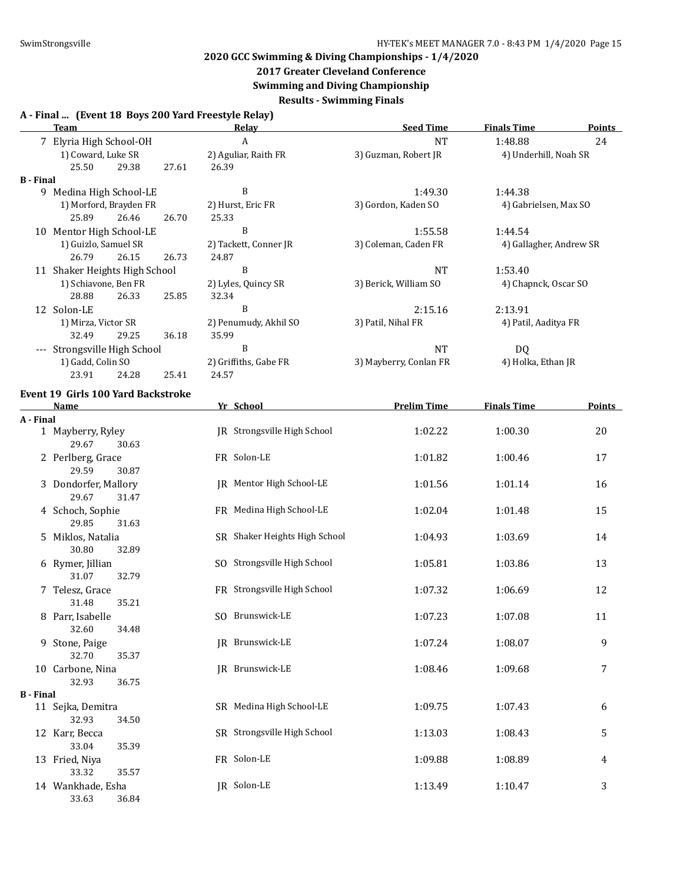## **2017 Greater Cleveland Conference**

**Swimming and Diving Championship**

**Results - Swimming Finals**

### **A - Final ... (Event 18 Boys 200 Yard Freestyle Relay)**

|                  | <b>Team</b>                               |       |       | <b>Relay</b>                | <b>Seed Time</b>       | <b>Finals Time</b>      | Points        |
|------------------|-------------------------------------------|-------|-------|-----------------------------|------------------------|-------------------------|---------------|
|                  | 7 Elyria High School-OH                   |       |       | A                           | <b>NT</b>              | 1:48.88                 | 24            |
|                  | 1) Coward, Luke SR                        |       |       | 2) Aguliar, Raith FR        | 3) Guzman, Robert JR   | 4) Underhill, Noah SR   |               |
|                  | 25.50                                     | 29.38 | 27.61 | 26.39                       |                        |                         |               |
| <b>B</b> - Final |                                           |       |       |                             |                        |                         |               |
|                  | 9 Medina High School-LE                   |       |       | B                           | 1:49.30                | 1:44.38                 |               |
|                  | 1) Morford, Brayden FR                    |       |       | 2) Hurst, Eric FR           | 3) Gordon, Kaden SO    | 4) Gabrielsen, Max SO   |               |
|                  | 25.89                                     | 26.46 | 26.70 | 25.33                       |                        |                         |               |
| 10               | Mentor High School-LE                     |       |       | B                           | 1:55.58                | 1:44.54                 |               |
|                  | 1) Guizlo, Samuel SR                      |       |       | 2) Tackett, Conner JR       | 3) Coleman, Caden FR   | 4) Gallagher, Andrew SR |               |
|                  | 26.79                                     | 26.15 | 26.73 | 24.87                       |                        |                         |               |
|                  | 11 Shaker Heights High School             |       |       | B                           | <b>NT</b>              | 1:53.40                 |               |
|                  | 1) Schiavone, Ben FR                      |       |       | 2) Lyles, Quincy SR         | 3) Berick, William SO  | 4) Chapnck, Oscar SO    |               |
|                  | 28.88                                     | 26.33 | 25.85 | 32.34                       |                        |                         |               |
|                  | 12 Solon-LE                               |       |       | B                           | 2:15.16                | 2:13.91                 |               |
|                  | 1) Mirza, Victor SR                       |       |       | 2) Penumudy, Akhil SO       | 3) Patil, Nihal FR     | 4) Patil, Aaditya FR    |               |
|                  | 32.49                                     | 29.25 | 36.18 | 35.99                       |                        |                         |               |
| $---$            | Strongsville High School                  |       |       | B                           | <b>NT</b>              | DQ                      |               |
|                  | 1) Gadd, Colin SO                         |       |       | 2) Griffiths, Gabe FR       | 3) Mayberry, Conlan FR | 4) Holka, Ethan JR      |               |
|                  | 23.91                                     | 24.28 | 25.41 | 24.57                       |                        |                         |               |
|                  | <b>Event 19 Girls 100 Yard Backstroke</b> |       |       |                             |                        |                         |               |
|                  | Name                                      |       |       | Yr School                   | <b>Prelim Time</b>     | <b>Finals Time</b>      | <b>Points</b> |
| A - Final        |                                           |       |       |                             |                        |                         |               |
|                  | 1 Mayberry, Ryley                         |       |       | IR Strongsville High School | 1:02.22                | 1:00.30                 | 20            |
|                  | 29.67                                     | 30.63 |       |                             |                        |                         |               |
|                  | 2 Perlberg, Grace                         |       |       | FR Solon-LE                 | 1:01.82                | 1:00.46                 | 17            |
|                  | 29.59                                     | 30.87 |       |                             |                        |                         |               |

|                  | 29.59                               | 30.87          |                               |         |         |    |
|------------------|-------------------------------------|----------------|-------------------------------|---------|---------|----|
|                  | 3 Dondorfer, Mallory<br>29.67       | 31.47          | JR Mentor High School-LE      | 1:01.56 | 1:01.14 | 16 |
|                  | 4 Schoch, Sophie                    |                | FR Medina High School-LE      | 1:02.04 | 1:01.48 | 15 |
|                  | 29.85<br>5 Miklos, Natalia          | 31.63          | SR Shaker Heights High School | 1:04.93 | 1:03.69 | 14 |
|                  | 30.80                               | 32.89          |                               |         |         |    |
|                  | 6 Rymer, Jillian<br>31.07           | 32.79          | SO Strongsville High School   | 1:05.81 | 1:03.86 | 13 |
|                  | 7 Telesz, Grace<br>31.48            | 35.21          | FR Strongsville High School   | 1:07.32 | 1:06.69 | 12 |
|                  | 8 Parr, Isabelle<br>32.60           | 34.48          | SO Brunswick-LE               | 1:07.23 | 1:07.08 | 11 |
| 9                | Stone, Paige<br>32.70               | 35.37          | <b>IR</b> Brunswick-LE        | 1:07.24 | 1:08.07 | 9  |
|                  | 10 Carbone, Nina<br>32.93           | 36.75          | JR Brunswick-LE               | 1:08.46 | 1:09.68 | 7  |
| <b>B</b> - Final |                                     |                |                               |         |         |    |
|                  | 11 Sejka, Demitra<br>32.93          | 34.50          | SR Medina High School-LE      | 1:09.75 | 1:07.43 | 6  |
|                  | 12 Karr, Becca<br>33.04             | 35.39          | SR Strongsville High School   | 1:13.03 | 1:08.43 | 5  |
|                  | 13 Fried, Niya                      |                | FR Solon-LE                   | 1:09.88 | 1:08.89 | 4  |
|                  | 33.32<br>14 Wankhade, Esha<br>33.63 | 35.57<br>36.84 | JR Solon-LE                   | 1:13.49 | 1:10.47 | 3  |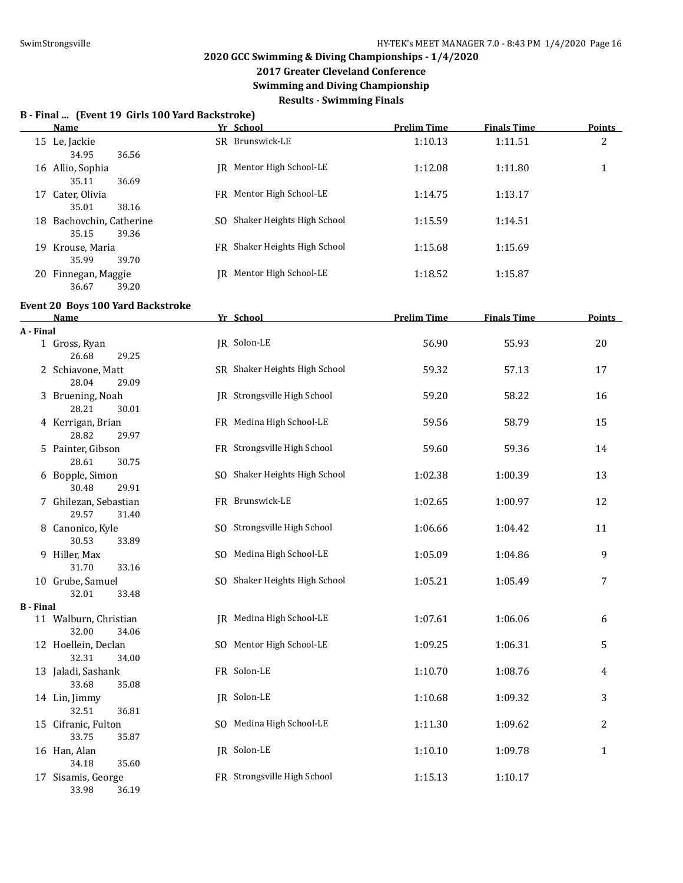**2017 Greater Cleveland Conference**

**Swimming and Diving Championship**

**Results - Swimming Finals**

#### **B - Final ... (Event 19 Girls 100 Yard Backstroke)**

|    | Name                     | Yr School |                               | <b>Prelim Time</b> | <b>Finals Time</b> | Points |
|----|--------------------------|-----------|-------------------------------|--------------------|--------------------|--------|
|    | 15 Le, Jackie            |           | SR Brunswick-LE               | 1:10.13            | 1:11.51            | 2      |
|    | 34.95<br>36.56           |           |                               |                    |                    |        |
|    | 16 Allio, Sophia         |           | IR Mentor High School-LE      | 1:12.08            | 1:11.80            | 1      |
|    | 35.11<br>36.69           |           |                               |                    |                    |        |
| 17 | Cater, Olivia            |           | FR Mentor High School-LE      | 1:14.75            | 1:13.17            |        |
|    | 35.01<br>38.16           |           |                               |                    |                    |        |
|    | 18 Bachovchin, Catherine | SO.       | Shaker Heights High School    | 1:15.59            | 1:14.51            |        |
|    | 39.36<br>35.15           |           |                               |                    |                    |        |
|    | 19 Krouse, Maria         |           | FR Shaker Heights High School | 1:15.68            | 1:15.69            |        |
|    | 35.99<br>39.70           |           |                               |                    |                    |        |
|    | 20 Finnegan, Maggie      | IR-       | Mentor High School-LE         | 1:18.52            | 1:15.87            |        |
|    | 36.67<br>39.20           |           |                               |                    |                    |        |

|                  | <b>Event 20 Boys 100 Yard Backstroke</b>              |                               |                    |                    |               |
|------------------|-------------------------------------------------------|-------------------------------|--------------------|--------------------|---------------|
|                  | Name                                                  | Yr School                     | <b>Prelim Time</b> | <b>Finals Time</b> | <b>Points</b> |
| A - Final        |                                                       |                               |                    |                    |               |
|                  | 1 Gross, Ryan<br>26.68<br>29.25                       | JR Solon-LE                   | 56.90              | 55.93              | 20            |
|                  | 2 Schiavone, Matt                                     | SR Shaker Heights High School | 59.32              | 57.13              | 17            |
|                  | 28.04<br>29.09<br>3 Bruening, Noah                    | JR Strongsville High School   | 59.20              | 58.22              | 16            |
|                  | 28.21<br>30.01<br>4 Kerrigan, Brian<br>28.82<br>29.97 | FR Medina High School-LE      | 59.56              | 58.79              | 15            |
|                  | 5 Painter, Gibson<br>28.61<br>30.75                   | FR Strongsville High School   | 59.60              | 59.36              | 14            |
|                  | 6 Bopple, Simon<br>30.48<br>29.91                     | SO Shaker Heights High School | 1:02.38            | 1:00.39            | 13            |
|                  | 7 Ghilezan, Sebastian<br>29.57<br>31.40               | FR Brunswick-LE               | 1:02.65            | 1:00.97            | 12            |
|                  | 8 Canonico, Kyle<br>30.53<br>33.89                    | SO Strongsville High School   | 1:06.66            | 1:04.42            | 11            |
|                  | 9 Hiller, Max<br>31.70<br>33.16                       | SO Medina High School-LE      | 1:05.09            | 1:04.86            | 9             |
|                  | 10 Grube, Samuel<br>32.01<br>33.48                    | SO Shaker Heights High School | 1:05.21            | 1:05.49            | 7             |
| <b>B</b> - Final |                                                       |                               |                    |                    |               |
|                  | 11 Walburn, Christian<br>32.00<br>34.06               | IR Medina High School-LE      | 1:07.61            | 1:06.06            | 6             |
|                  | 12 Hoellein, Declan<br>32.31<br>34.00                 | SO Mentor High School-LE      | 1:09.25            | 1:06.31            | 5             |
|                  | 13 Jaladi, Sashank<br>33.68<br>35.08                  | FR Solon-LE                   | 1:10.70            | 1:08.76            | 4             |
|                  | 14 Lin, Jimmy<br>32.51<br>36.81                       | JR Solon-LE                   | 1:10.68            | 1:09.32            | 3             |
|                  | 15 Cifranic, Fulton<br>33.75<br>35.87                 | SO Medina High School-LE      | 1:11.30            | 1:09.62            | 2             |
|                  | 16 Han, Alan<br>35.60<br>34.18                        | JR Solon-LE                   | 1:10.10            | 1:09.78            | $\mathbf{1}$  |
|                  | 17 Sisamis, George<br>33.98<br>36.19                  | FR Strongsville High School   | 1:15.13            | 1:10.17            |               |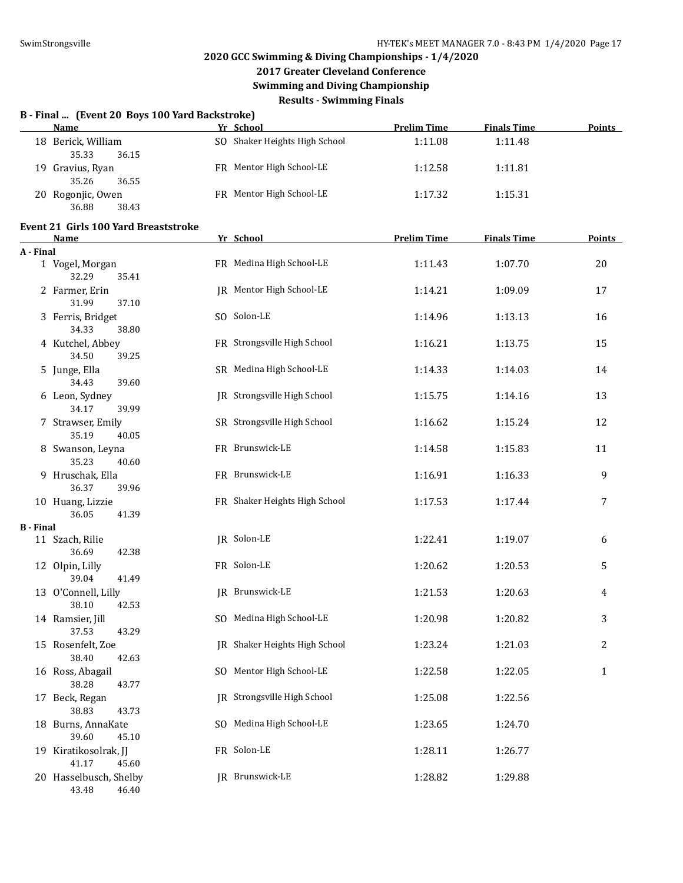# **2017 Greater Cleveland Conference**

**Swimming and Diving Championship**

**Results - Swimming Finals**

|  |  |  |  | B - Final  (Event 20 Boys 100 Yard Backstroke) |  |
|--|--|--|--|------------------------------------------------|--|
|--|--|--|--|------------------------------------------------|--|

|    | Name             | Yr School                     | <b>Prelim Time</b> | <b>Finals Time</b> | <b>Points</b> |
|----|------------------|-------------------------------|--------------------|--------------------|---------------|
| 18 | Berick, William  | SO Shaker Heights High School | 1:11.08            | 1:11.48            |               |
|    | 35.33<br>36.15   |                               |                    |                    |               |
|    | 19 Gravius, Ryan | FR Mentor High School-LE      | 1:12.58            | 1:11.81            |               |
|    | 35.26<br>36.55   |                               |                    |                    |               |
| 20 | Rogonjic, Owen   | FR Mentor High School-LE      | 1:17.32            | 1:15.31            |               |
|    | 36.88<br>38.43   |                               |                    |                    |               |

#### **Event 21 Girls 100 Yard Breaststroke**

|                  | <b>Name</b>                              | Yr School                          | <b>Prelim Time</b> | <b>Finals Time</b> | <b>Points</b> |
|------------------|------------------------------------------|------------------------------------|--------------------|--------------------|---------------|
| A - Final        |                                          |                                    |                    |                    |               |
|                  | 1 Vogel, Morgan<br>32.29<br>35.41        | FR Medina High School-LE           | 1:11.43            | 1:07.70            | 20            |
|                  | 2 Farmer, Erin<br>31.99<br>37.10         | JR Mentor High School-LE           | 1:14.21            | 1:09.09            | 17            |
|                  | 3 Ferris, Bridget<br>34.33<br>38.80      | SO Solon-LE                        | 1:14.96            | 1:13.13            | 16            |
|                  | 4 Kutchel, Abbey<br>34.50<br>39.25       | FR Strongsville High School        | 1:16.21            | 1:13.75            | 15            |
|                  | 5 Junge, Ella<br>34.43<br>39.60          | SR Medina High School-LE           | 1:14.33            | 1:14.03            | 14            |
|                  | 6 Leon, Sydney<br>34.17<br>39.99         | <b>IR</b> Strongsville High School | 1:15.75            | 1:14.16            | 13            |
|                  | 7 Strawser, Emily<br>35.19<br>40.05      | SR Strongsville High School        | 1:16.62            | 1:15.24            | 12            |
|                  | 8 Swanson, Leyna<br>35.23<br>40.60       | FR Brunswick-LE                    | 1:14.58            | 1:15.83            | 11            |
|                  | 9 Hruschak, Ella<br>36.37<br>39.96       | FR Brunswick-LE                    | 1:16.91            | 1:16.33            | 9             |
|                  | 10 Huang, Lizzie<br>36.05<br>41.39       | FR Shaker Heights High School      | 1:17.53            | 1:17.44            | 7             |
| <b>B</b> - Final |                                          |                                    |                    |                    |               |
|                  | 11 Szach, Rilie<br>36.69<br>42.38        | JR Solon-LE                        | 1:22.41            | 1:19.07            | 6             |
|                  | 12 Olpin, Lilly<br>39.04<br>41.49        | FR Solon-LE                        | 1:20.62            | 1:20.53            | 5             |
|                  | 13 O'Connell, Lilly<br>38.10<br>42.53    | JR Brunswick-LE                    | 1:21.53            | 1:20.63            | 4             |
|                  | 14 Ramsier, Jill<br>37.53<br>43.29       | SO Medina High School-LE           | 1:20.98            | 1:20.82            | 3             |
|                  | 15 Rosenfelt, Zoe<br>38.40<br>42.63      | JR Shaker Heights High School      | 1:23.24            | 1:21.03            | $\mathbf{2}$  |
|                  | 16 Ross, Abagail<br>38.28<br>43.77       | SO Mentor High School-LE           | 1:22.58            | 1:22.05            | $\mathbf{1}$  |
|                  | 17 Beck, Regan<br>38.83<br>43.73         | JR Strongsville High School        | 1:25.08            | 1:22.56            |               |
|                  | 18 Burns, AnnaKate<br>39.60<br>45.10     | SO Medina High School-LE           | 1:23.65            | 1:24.70            |               |
|                  | 19 Kiratikosolrak, JJ<br>41.17<br>45.60  | FR Solon-LE                        | 1:28.11            | 1:26.77            |               |
|                  | 20 Hasselbusch, Shelby<br>43.48<br>46.40 | JR Brunswick-LE                    | 1:28.82            | 1:29.88            |               |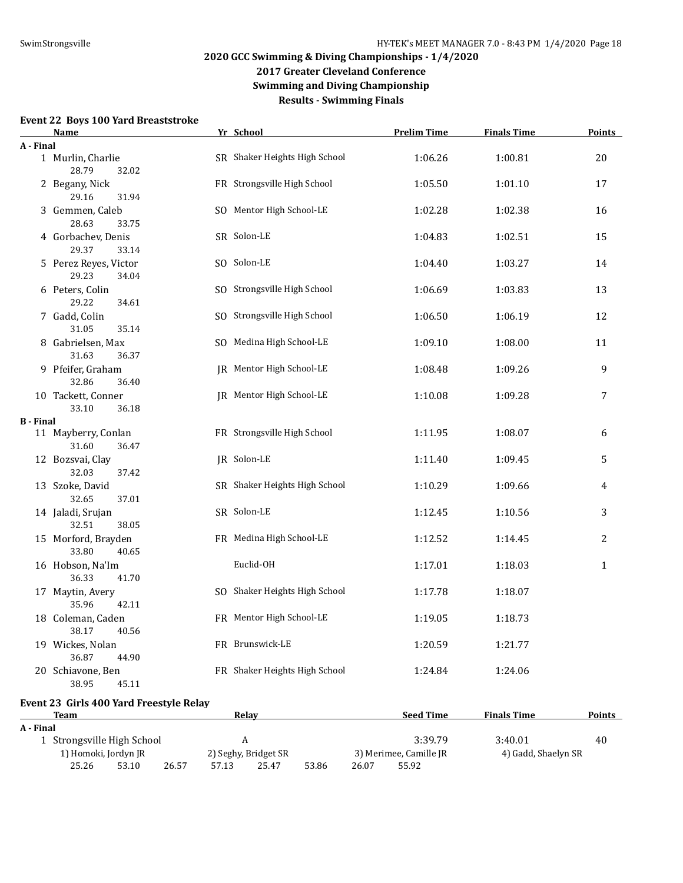## **2020 GCC Swimming & Diving Championships - 1/4/2020 2017 Greater Cleveland Conference**

**Swimming and Diving Championship**

**Results - Swimming Finals**

#### **Event 22 Boys 100 Yard Breaststroke**

**Event 23 Girls 400 Yard Freestyle Relay**

 $\overline{A}$ 

|                  | Name                                    | Yr School                     | <b>Prelim Time</b> | <b>Finals Time</b> | <b>Points</b>  |
|------------------|-----------------------------------------|-------------------------------|--------------------|--------------------|----------------|
| A - Final        |                                         |                               |                    |                    |                |
|                  | 1 Murlin, Charlie<br>28.79<br>32.02     | SR Shaker Heights High School | 1:06.26            | 1:00.81            | 20             |
|                  | 2 Begany, Nick<br>29.16<br>31.94        | FR Strongsville High School   | 1:05.50            | 1:01.10            | 17             |
|                  | 3 Gemmen, Caleb<br>28.63<br>33.75       | SO Mentor High School-LE      | 1:02.28            | 1:02.38            | 16             |
|                  | 4 Gorbachev, Denis<br>29.37<br>33.14    | SR Solon-LE                   | 1:04.83            | 1:02.51            | 15             |
|                  | 5 Perez Reyes, Victor<br>29.23<br>34.04 | SO Solon-LE                   | 1:04.40            | 1:03.27            | 14             |
|                  | 6 Peters, Colin<br>29.22<br>34.61       | SO Strongsville High School   | 1:06.69            | 1:03.83            | 13             |
|                  | 7 Gadd, Colin<br>31.05<br>35.14         | SO Strongsville High School   | 1:06.50            | 1:06.19            | 12             |
|                  | 8 Gabrielsen, Max<br>31.63<br>36.37     | SO Medina High School-LE      | 1:09.10            | 1:08.00            | 11             |
|                  | 9 Pfeifer, Graham<br>32.86<br>36.40     | JR Mentor High School-LE      | 1:08.48            | 1:09.26            | 9              |
|                  | 10 Tackett, Conner<br>33.10<br>36.18    | JR Mentor High School-LE      | 1:10.08            | 1:09.28            | 7              |
| <b>B</b> - Final |                                         |                               |                    |                    |                |
|                  | 11 Mayberry, Conlan<br>31.60<br>36.47   | FR Strongsville High School   | 1:11.95            | 1:08.07            | 6              |
|                  | 12 Bozsvai, Clay<br>32.03<br>37.42      | JR Solon-LE                   | 1:11.40            | 1:09.45            | 5              |
|                  | 13 Szoke, David<br>32.65<br>37.01       | SR Shaker Heights High School | 1:10.29            | 1:09.66            | 4              |
|                  | 14 Jaladi, Srujan<br>32.51<br>38.05     | SR Solon-LE                   | 1:12.45            | 1:10.56            | $\overline{3}$ |
|                  | 15 Morford, Brayden<br>33.80<br>40.65   | FR Medina High School-LE      | 1:12.52            | 1:14.45            | $\overline{2}$ |
|                  | 16 Hobson, Na'Im<br>36.33<br>41.70      | Euclid-OH                     | 1:17.01            | 1:18.03            | $\mathbf{1}$   |
|                  | 17 Maytin, Avery<br>35.96<br>42.11      | SO Shaker Heights High School | 1:17.78            | 1:18.07            |                |
|                  | 18 Coleman, Caden<br>38.17<br>40.56     | FR Mentor High School-LE      | 1:19.05            | 1:18.73            |                |
|                  | 19 Wickes, Nolan<br>36.87<br>44.90      | FR Brunswick-LE               | 1:20.59            | 1:21.77            |                |
|                  | 20 Schiavone, Ben<br>38.95<br>45.11     | FR Shaker Heights High School | 1:24.84            | 1:24.06            |                |
|                  |                                         |                               |                    |                    |                |

| Team  |                            | Relav                | <b>Seed Time</b>       | <b>Finals Time</b>  | Points |
|-------|----------------------------|----------------------|------------------------|---------------------|--------|
| Final |                            |                      |                        |                     |        |
|       | 1 Strongsville High School |                      | 3:39.79                | 3:40.01             | 40     |
|       | 1) Homoki, Jordyn JR       | 2) Seghy, Bridget SR | 3) Merimee, Camille JR | 4) Gadd, Shaelyn SR |        |

25.26 53.10 26.57 57.13 25.47 53.86 26.07 55.92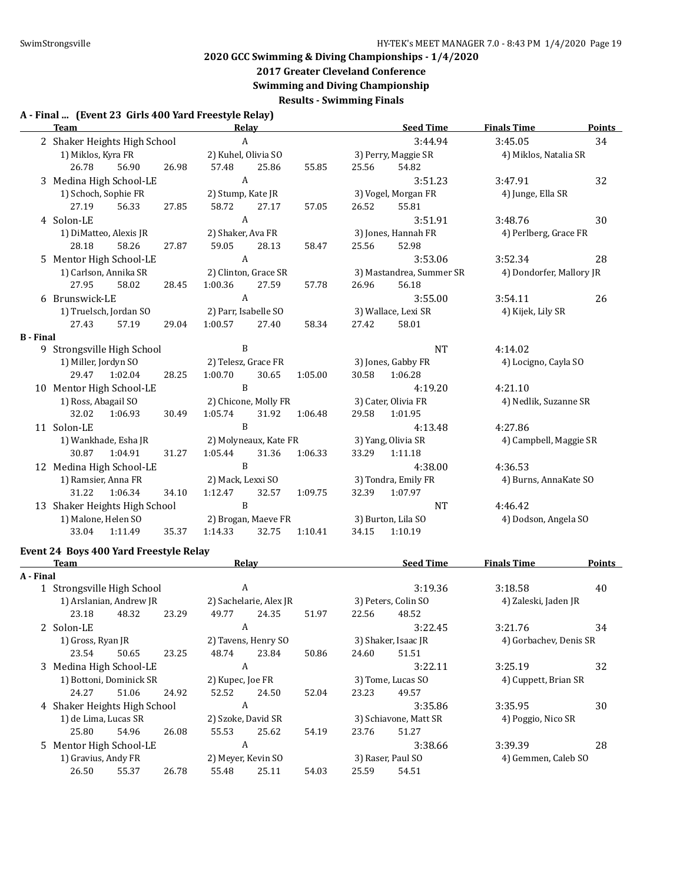## **2017 Greater Cleveland Conference**

**Swimming and Diving Championship**

**Results - Swimming Finals**

#### **A - Final ... (Event 23 Girls 400 Yard Freestyle Relay)**

|                  | <b>Team</b><br><b>Relay</b>                                                               |       |                        |       |         |                     | <b>Seed Time</b>         | <b>Finals Time</b>       | Points        |
|------------------|-------------------------------------------------------------------------------------------|-------|------------------------|-------|---------|---------------------|--------------------------|--------------------------|---------------|
|                  | $\boldsymbol{A}$<br>2 Shaker Heights High School                                          |       |                        |       |         | 3:44.94             | 3:45.05                  | 34                       |               |
|                  | 2) Kuhel, Olivia SO<br>1) Miklos, Kyra FR                                                 |       |                        |       |         | 3) Perry, Maggie SR | 4) Miklos, Natalia SR    |                          |               |
|                  | 26.78<br>56.90                                                                            | 26.98 | 57.48                  | 25.86 | 55.85   | 25.56               | 54.82                    |                          |               |
|                  | 3 Medina High School-LE                                                                   |       | $\boldsymbol{A}$       |       |         |                     | 3:51.23                  | 3:47.91                  | 32            |
|                  | 1) Schoch, Sophie FR                                                                      |       | 2) Stump, Kate JR      |       |         |                     | 3) Vogel, Morgan FR      | 4) Junge, Ella SR        |               |
|                  | 56.33<br>27.19                                                                            | 27.85 | 58.72                  | 27.17 | 57.05   | 26.52               | 55.81                    |                          |               |
|                  | 4 Solon-LE                                                                                |       | $\boldsymbol{A}$       |       |         |                     | 3:51.91                  | 3:48.76                  | 30            |
|                  | 1) DiMatteo, Alexis JR                                                                    |       | 2) Shaker, Ava FR      |       |         |                     | 3) Jones, Hannah FR      | 4) Perlberg, Grace FR    |               |
|                  | 28.18<br>58.26                                                                            | 27.87 | 59.05                  | 28.13 | 58.47   | 25.56               | 52.98                    |                          |               |
|                  | 5 Mentor High School-LE                                                                   |       | $\boldsymbol{A}$       |       |         |                     | 3:53.06                  | 3:52.34                  | 28            |
|                  | 1) Carlson, Annika SR                                                                     |       | 2) Clinton, Grace SR   |       |         |                     | 3) Mastandrea, Summer SR | 4) Dondorfer, Mallory JR |               |
|                  | 27.95<br>58.02                                                                            | 28.45 | 1:00.36                | 27.59 | 57.78   | 26.96               | 56.18                    |                          |               |
|                  | 6 Brunswick-LE                                                                            |       | $\boldsymbol{A}$       |       |         |                     | 3:55.00                  | 3:54.11                  | 26            |
|                  | 1) Truelsch, Jordan SO                                                                    |       | 2) Parr, Isabelle SO   |       |         |                     | 3) Wallace, Lexi SR      | 4) Kijek, Lily SR        |               |
|                  | 27.43<br>57.19                                                                            | 29.04 | 1:00.57                | 27.40 | 58.34   | 27.42               | 58.01                    |                          |               |
| <b>B</b> - Final |                                                                                           |       |                        |       |         |                     |                          |                          |               |
|                  | 9 Strongsville High School                                                                |       | $\, {\bf B}$           |       |         |                     | <b>NT</b>                | 4:14.02                  |               |
|                  | 1) Miller, Jordyn SO                                                                      |       | 2) Telesz, Grace FR    |       |         |                     | 3) Jones, Gabby FR       | 4) Locigno, Cayla SO     |               |
|                  | 29.47<br>1:02.04                                                                          | 28.25 | 1:00.70                | 30.65 | 1:05.00 | 30.58               | 1:06.28                  |                          |               |
|                  | 10 Mentor High School-LE                                                                  |       | $\, {\bf B}$           |       |         |                     | 4:19.20                  | 4:21.10                  |               |
|                  | 1) Ross, Abagail SO                                                                       |       | 2) Chicone, Molly FR   |       |         |                     | 3) Cater, Olivia FR      | 4) Nedlik, Suzanne SR    |               |
|                  | 32.02<br>1:06.93                                                                          | 30.49 | 1:05.74                | 31.92 | 1:06.48 | 29.58               | 1:01.95                  |                          |               |
|                  | 11 Solon-LE                                                                               |       | $\, {\bf B}$           |       |         |                     | 4:13.48                  | 4:27.86                  |               |
|                  | 1) Wankhade, Esha JR                                                                      |       | 2) Molyneaux, Kate FR  |       |         |                     | 3) Yang, Olivia SR       | 4) Campbell, Maggie SR   |               |
|                  | 30.87<br>1:04.91                                                                          | 31.27 | 1:05.44                | 31.36 | 1:06.33 | 33.29               | 1:11.18                  |                          |               |
|                  | 12 Medina High School-LE                                                                  |       | $\, {\bf B}$           |       |         |                     | 4:38.00                  | 4:36.53                  |               |
|                  | 1) Ramsier, Anna FR                                                                       |       | 2) Mack, Lexxi SO      |       |         |                     | 3) Tondra, Emily FR      | 4) Burns, AnnaKate SO    |               |
|                  | 31.22<br>1:06.34                                                                          | 34.10 | 1:12.47                | 32.57 | 1:09.75 | 32.39               | 1:07.97                  |                          |               |
|                  | 13 Shaker Heights High School                                                             |       | B                      |       |         |                     | <b>NT</b>                | 4:46.42                  |               |
|                  | 1) Malone, Helen SO                                                                       |       | 2) Brogan, Maeve FR    |       |         |                     | 3) Burton, Lila SO       | 4) Dodson, Angela SO     |               |
|                  | 33.04<br>1:11.49                                                                          | 35.37 | 1:14.33                | 32.75 | 1:10.41 | 34.15               | 1:10.19                  |                          |               |
|                  |                                                                                           |       |                        |       |         |                     |                          |                          |               |
|                  | Event 24 Boys 400 Yard Freestyle Relay                                                    |       |                        |       |         |                     |                          |                          |               |
|                  | <b>Team</b><br>the control of the control of the control of the control of the control of |       | <b>Relay</b>           |       |         |                     | <b>Seed Time</b>         | <b>Finals Time</b>       | <b>Points</b> |
| A - Final        |                                                                                           |       |                        |       |         |                     |                          |                          |               |
|                  | 1 Strongsville High School                                                                |       | $\boldsymbol{A}$       |       |         |                     | 3:19.36                  | 3:18.58                  | 40            |
|                  | 1) Arslanian, Andrew JR                                                                   |       | 2) Sachelarie, Alex JR |       |         |                     | 3) Peters, Colin SO      | 4) Zaleski, Jaden JR     |               |
|                  | 23.18<br>48.32                                                                            | 23.29 | 49.77                  | 24.35 | 51.97   | 22.56               | 48.52                    |                          |               |
|                  | 2 Solon-LE                                                                                |       | A                      |       |         |                     | 3:22.45                  | 3:21.76                  | 34            |
|                  | 1) Gross, Ryan JR                                                                         |       | 2) Tavens, Henry SO    |       |         |                     | 3) Shaker, Isaac JR      | 4) Gorbachev, Denis SR   |               |
|                  | 23.54<br>50.65                                                                            | 23.25 | 48.74                  | 23.84 | 50.86   | 24.60               | 51.51                    |                          |               |
|                  | 3 Medina High School-LE                                                                   |       | $\boldsymbol{A}$       |       |         |                     | 3:22.11                  | 3:25.19                  | 32            |
|                  | 1) Bottoni, Dominick SR                                                                   |       | 2) Kupec, Joe FR       |       |         |                     | 3) Tome, Lucas SO        | 4) Cuppett, Brian SR     |               |
|                  | 24.27<br>51.06                                                                            | 24.92 | 52.52                  | 24.50 | 52.04   | 23.23               | 49.57                    |                          |               |
|                  | 4 Shaker Heights High School                                                              |       | $\boldsymbol{A}$       |       |         |                     | 3:35.86                  | 3:35.95                  | 30            |
|                  | 1) de Lima, Lucas SR                                                                      |       | 2) Szoke, David SR     |       |         |                     | 3) Schiavone, Matt SR    | 4) Poggio, Nico SR       |               |
|                  | 25.80<br>54.96                                                                            | 26.08 | 55.53                  | 25.62 | 54.19   | 23.76               | 51.27                    |                          |               |
|                  | 5 Mentor High School-LE                                                                   |       | A                      |       |         |                     | 3:38.66                  | 3:39.39                  | 28            |
|                  | 1) Gravius, Andy FR                                                                       |       | 2) Meyer, Kevin SO     |       |         |                     | 3) Raser, Paul SO        | 4) Gemmen, Caleb SO      |               |

26.50 55.37 26.78 55.48 25.11 54.03 25.59 54.51